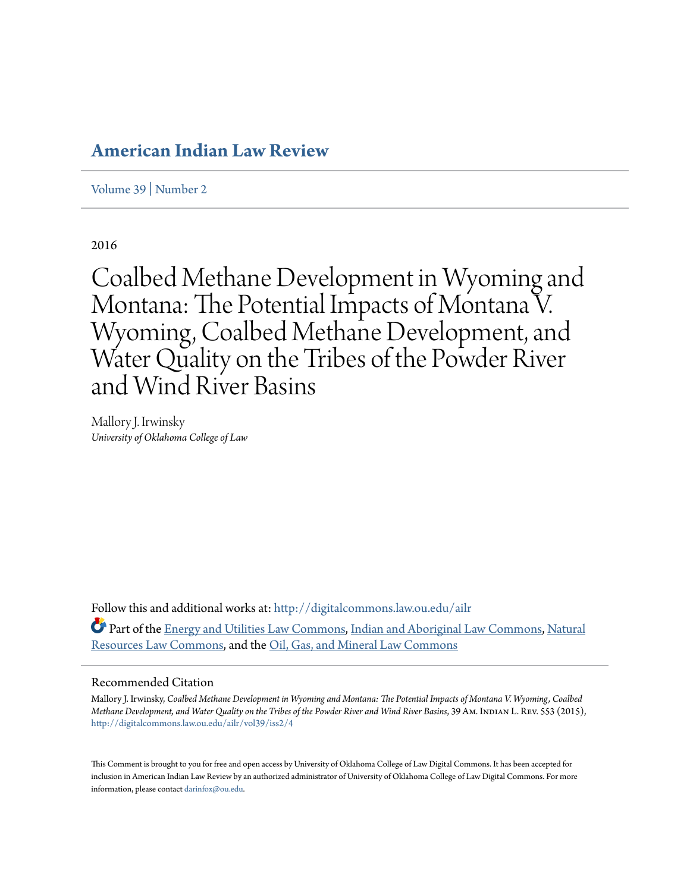# **[American Indian Law Review](http://digitalcommons.law.ou.edu/ailr?utm_source=digitalcommons.law.ou.edu%2Failr%2Fvol39%2Fiss2%2F4&utm_medium=PDF&utm_campaign=PDFCoverPages)**

[Volume 39](http://digitalcommons.law.ou.edu/ailr/vol39?utm_source=digitalcommons.law.ou.edu%2Failr%2Fvol39%2Fiss2%2F4&utm_medium=PDF&utm_campaign=PDFCoverPages) | [Number 2](http://digitalcommons.law.ou.edu/ailr/vol39/iss2?utm_source=digitalcommons.law.ou.edu%2Failr%2Fvol39%2Fiss2%2F4&utm_medium=PDF&utm_campaign=PDFCoverPages)

2016

Coalbed Methane Development in Wyoming and Montana: The Potential Impacts of Montana V. Wyoming, Coalbed Methane Development, and Water Quality on the Tribes of the Powder River and Wind River Basins

Mallory J. Irwinsky *University of Oklahoma College of Law*

Follow this and additional works at: [http://digitalcommons.law.ou.edu/ailr](http://digitalcommons.law.ou.edu/ailr?utm_source=digitalcommons.law.ou.edu%2Failr%2Fvol39%2Fiss2%2F4&utm_medium=PDF&utm_campaign=PDFCoverPages) Part of the [Energy and Utilities Law Commons,](http://network.bepress.com/hgg/discipline/891?utm_source=digitalcommons.law.ou.edu%2Failr%2Fvol39%2Fiss2%2F4&utm_medium=PDF&utm_campaign=PDFCoverPages) [Indian and Aboriginal Law Commons](http://network.bepress.com/hgg/discipline/894?utm_source=digitalcommons.law.ou.edu%2Failr%2Fvol39%2Fiss2%2F4&utm_medium=PDF&utm_campaign=PDFCoverPages), [Natural](http://network.bepress.com/hgg/discipline/863?utm_source=digitalcommons.law.ou.edu%2Failr%2Fvol39%2Fiss2%2F4&utm_medium=PDF&utm_campaign=PDFCoverPages) [Resources Law Commons](http://network.bepress.com/hgg/discipline/863?utm_source=digitalcommons.law.ou.edu%2Failr%2Fvol39%2Fiss2%2F4&utm_medium=PDF&utm_campaign=PDFCoverPages), and the [Oil, Gas, and Mineral Law Commons](http://network.bepress.com/hgg/discipline/864?utm_source=digitalcommons.law.ou.edu%2Failr%2Fvol39%2Fiss2%2F4&utm_medium=PDF&utm_campaign=PDFCoverPages)

#### Recommended Citation

Mallory J. Irwinsky, *Coalbed Methane Development in Wyoming and Montana: The Potential Impacts of Montana V. Wyoming, Coalbed Methane Development, and Water Quality on the Tribes of the Powder River and Wind River Basins, 39 Am. INDIAN L. REV. 553 (2015),* [http://digitalcommons.law.ou.edu/ailr/vol39/iss2/4](http://digitalcommons.law.ou.edu/ailr/vol39/iss2/4?utm_source=digitalcommons.law.ou.edu%2Failr%2Fvol39%2Fiss2%2F4&utm_medium=PDF&utm_campaign=PDFCoverPages)

This Comment is brought to you for free and open access by University of Oklahoma College of Law Digital Commons. It has been accepted for inclusion in American Indian Law Review by an authorized administrator of University of Oklahoma College of Law Digital Commons. For more information, please contact [darinfox@ou.edu.](mailto:darinfox@ou.edu)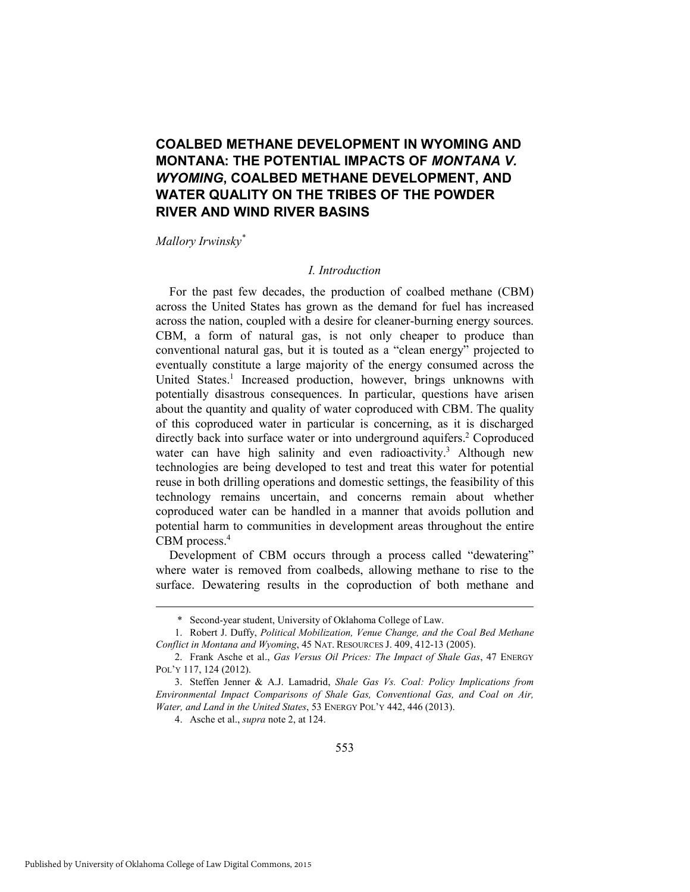## **COALBED METHANE DEVELOPMENT IN WYOMING AND MONTANA: THE POTENTIAL IMPACTS OF** *MONTANA V. WYOMING***, COALBED METHANE DEVELOPMENT, AND WATER QUALITY ON THE TRIBES OF THE POWDER RIVER AND WIND RIVER BASINS**

*Mallory Irwinsky\**

#### *I. Introduction*

For the past few decades, the production of coalbed methane (CBM) across the United States has grown as the demand for fuel has increased across the nation, coupled with a desire for cleaner-burning energy sources. CBM, a form of natural gas, is not only cheaper to produce than conventional natural gas, but it is touted as a "clean energy" projected to eventually constitute a large majority of the energy consumed across the United States.<sup>1</sup> Increased production, however, brings unknowns with potentially disastrous consequences. In particular, questions have arisen about the quantity and quality of water coproduced with CBM. The quality of this coproduced water in particular is concerning, as it is discharged directly back into surface water or into underground aquifers.<sup>2</sup> Coproduced water can have high salinity and even radioactivity.<sup>3</sup> Although new technologies are being developed to test and treat this water for potential reuse in both drilling operations and domestic settings, the feasibility of this technology remains uncertain, and concerns remain about whether coproduced water can be handled in a manner that avoids pollution and potential harm to communities in development areas throughout the entire CBM process.<sup>4</sup>

Development of CBM occurs through a process called "dewatering" where water is removed from coalbeds, allowing methane to rise to the surface. Dewatering results in the coproduction of both methane and

4. Asche et al., *supra* note 2, at 124.

 <sup>\*</sup> Second-year student, University of Oklahoma College of Law.

 <sup>1.</sup> Robert J. Duffy, *Political Mobilization, Venue Change, and the Coal Bed Methane Conflict in Montana and Wyoming*, 45 NAT. RESOURCES J. 409, 412-13 (2005).

 <sup>2.</sup> Frank Asche et al., *Gas Versus Oil Prices: The Impact of Shale Gas*, 47 ENERGY POL'Y 117, 124 (2012).

 <sup>3.</sup> Steffen Jenner & A.J. Lamadrid, *Shale Gas Vs. Coal: Policy Implications from Environmental Impact Comparisons of Shale Gas, Conventional Gas, and Coal on Air, Water, and Land in the United States*, 53 ENERGY POL'Y 442, 446 (2013).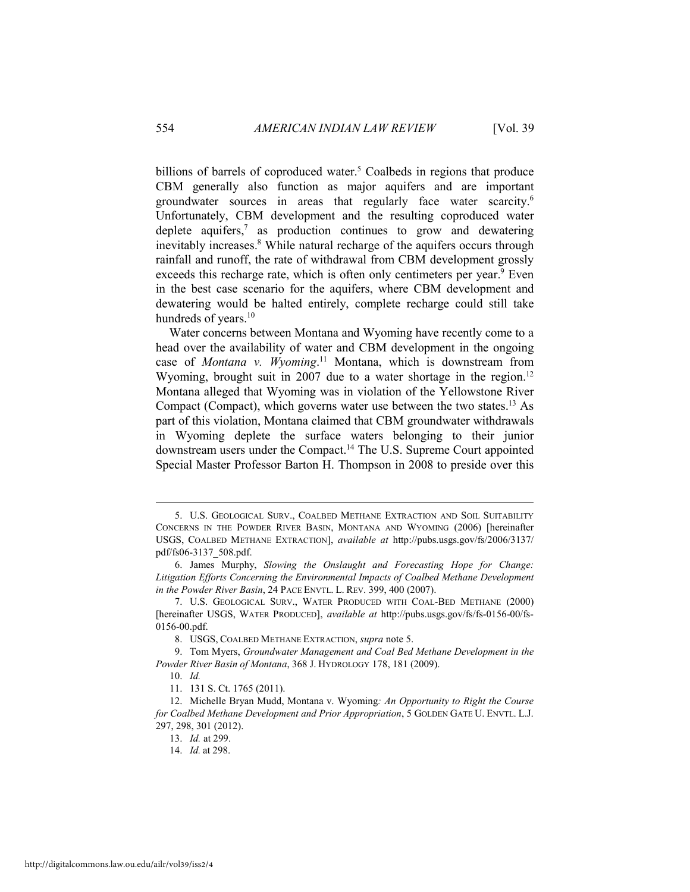billions of barrels of coproduced water.<sup>5</sup> Coalbeds in regions that produce CBM generally also function as major aquifers and are important groundwater sources in areas that regularly face water scarcity.6 Unfortunately, CBM development and the resulting coproduced water deplete aquifers, $7$  as production continues to grow and dewatering inevitably increases.<sup>8</sup> While natural recharge of the aquifers occurs through rainfall and runoff, the rate of withdrawal from CBM development grossly exceeds this recharge rate, which is often only centimeters per year.<sup>9</sup> Even in the best case scenario for the aquifers, where CBM development and dewatering would be halted entirely, complete recharge could still take hundreds of years.<sup>10</sup>

Water concerns between Montana and Wyoming have recently come to a head over the availability of water and CBM development in the ongoing case of *Montana v. Wyoming*. 11 Montana, which is downstream from Wyoming, brought suit in 2007 due to a water shortage in the region.<sup>12</sup> Montana alleged that Wyoming was in violation of the Yellowstone River Compact (Compact), which governs water use between the two states.13 As part of this violation, Montana claimed that CBM groundwater withdrawals in Wyoming deplete the surface waters belonging to their junior downstream users under the Compact.14 The U.S. Supreme Court appointed Special Master Professor Barton H. Thompson in 2008 to preside over this

 <sup>5.</sup> U.S. GEOLOGICAL SURV., COALBED METHANE EXTRACTION AND SOIL SUITABILITY CONCERNS IN THE POWDER RIVER BASIN, MONTANA AND WYOMING (2006) [hereinafter USGS, COALBED METHANE EXTRACTION], *available at* http://pubs.usgs.gov/fs/2006/3137/ pdf/fs06-3137\_508.pdf.

 <sup>6.</sup> James Murphy, *Slowing the Onslaught and Forecasting Hope for Change: Litigation Efforts Concerning the Environmental Impacts of Coalbed Methane Development in the Powder River Basin*, 24 PACE ENVTL. L. REV. 399, 400 (2007).

 <sup>7.</sup> U.S. GEOLOGICAL SURV., WATER PRODUCED WITH COAL-BED METHANE (2000) [hereinafter USGS, WATER PRODUCED], *available at* http://pubs.usgs.gov/fs/fs-0156-00/fs-0156-00.pdf.

 <sup>8.</sup> USGS, COALBED METHANE EXTRACTION, *supra* note 5.

 <sup>9.</sup> Tom Myers, *Groundwater Management and Coal Bed Methane Development in the Powder River Basin of Montana*, 368 J. HYDROLOGY 178, 181 (2009).

 <sup>10.</sup> *Id.*

 <sup>11. 131</sup> S. Ct. 1765 (2011).

 <sup>12.</sup> Michelle Bryan Mudd, Montana v. Wyoming*: An Opportunity to Right the Course for Coalbed Methane Development and Prior Appropriation*, 5 GOLDEN GATE U. ENVTL. L.J. 297, 298, 301 (2012).

 <sup>13.</sup> *Id.* at 299.

 <sup>14.</sup> *Id.* at 298.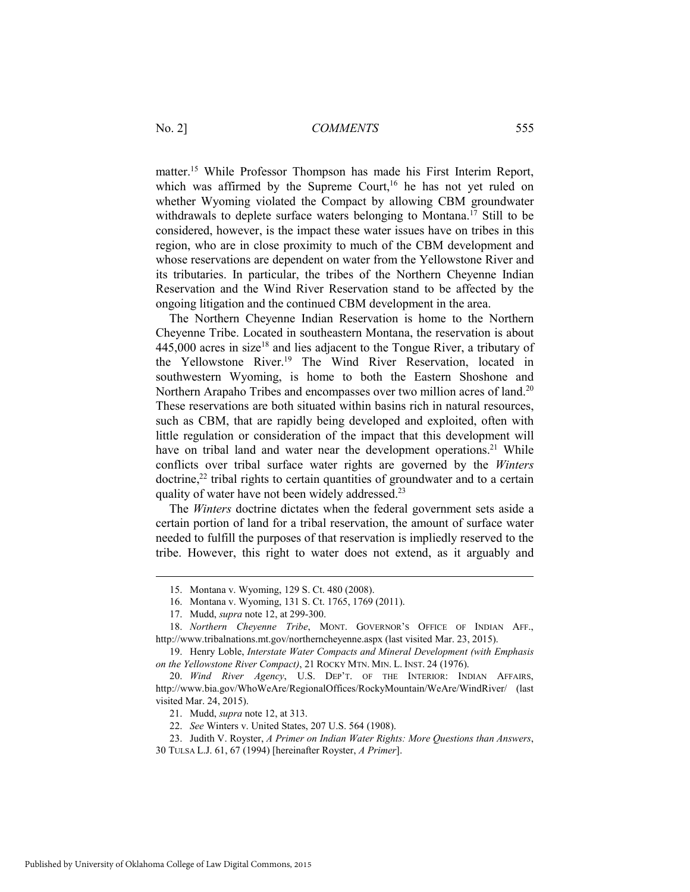matter.15 While Professor Thompson has made his First Interim Report, which was affirmed by the Supreme Court,<sup>16</sup> he has not yet ruled on whether Wyoming violated the Compact by allowing CBM groundwater withdrawals to deplete surface waters belonging to Montana.<sup>17</sup> Still to be considered, however, is the impact these water issues have on tribes in this region, who are in close proximity to much of the CBM development and whose reservations are dependent on water from the Yellowstone River and its tributaries. In particular, the tribes of the Northern Cheyenne Indian Reservation and the Wind River Reservation stand to be affected by the ongoing litigation and the continued CBM development in the area.

The Northern Cheyenne Indian Reservation is home to the Northern Cheyenne Tribe. Located in southeastern Montana, the reservation is about  $445,000$  acres in size<sup>18</sup> and lies adjacent to the Tongue River, a tributary of the Yellowstone River.19 The Wind River Reservation, located in southwestern Wyoming, is home to both the Eastern Shoshone and Northern Arapaho Tribes and encompasses over two million acres of land.<sup>20</sup> These reservations are both situated within basins rich in natural resources, such as CBM, that are rapidly being developed and exploited, often with little regulation or consideration of the impact that this development will have on tribal land and water near the development operations.<sup>21</sup> While conflicts over tribal surface water rights are governed by the *Winters*  $\phi$  doctrine,<sup>22</sup> tribal rights to certain quantities of groundwater and to a certain quality of water have not been widely addressed.23

The *Winters* doctrine dictates when the federal government sets aside a certain portion of land for a tribal reservation, the amount of surface water needed to fulfill the purposes of that reservation is impliedly reserved to the tribe. However, this right to water does not extend, as it arguably and

 <sup>15.</sup> Montana v. Wyoming, 129 S. Ct. 480 (2008).

 <sup>16.</sup> Montana v. Wyoming, 131 S. Ct. 1765, 1769 (2011).

 <sup>17.</sup> Mudd, *supra* note 12, at 299-300.

 <sup>18.</sup> *Northern Cheyenne Tribe*, MONT. GOVERNOR'S OFFICE OF INDIAN AFF., http://www.tribalnations.mt.gov/northerncheyenne.aspx (last visited Mar. 23, 2015).

 <sup>19.</sup> Henry Loble, *Interstate Water Compacts and Mineral Development (with Emphasis on the Yellowstone River Compact)*, 21 ROCKY MTN. MIN. L. INST. 24 (1976).

 <sup>20.</sup> *Wind River Agency*, U.S. DEP'T. OF THE INTERIOR: INDIAN AFFAIRS, http://www.bia.gov/WhoWeAre/RegionalOffices/RockyMountain/WeAre/WindRiver/ (last visited Mar. 24, 2015).

 <sup>21.</sup> Mudd, *supra* note 12, at 313.

 <sup>22.</sup> *See* Winters v. United States, 207 U.S. 564 (1908).

 <sup>23.</sup> Judith V. Royster, *A Primer on Indian Water Rights: More Questions than Answers*,

<sup>30</sup> TULSA L.J. 61, 67 (1994) [hereinafter Royster, *A Primer*].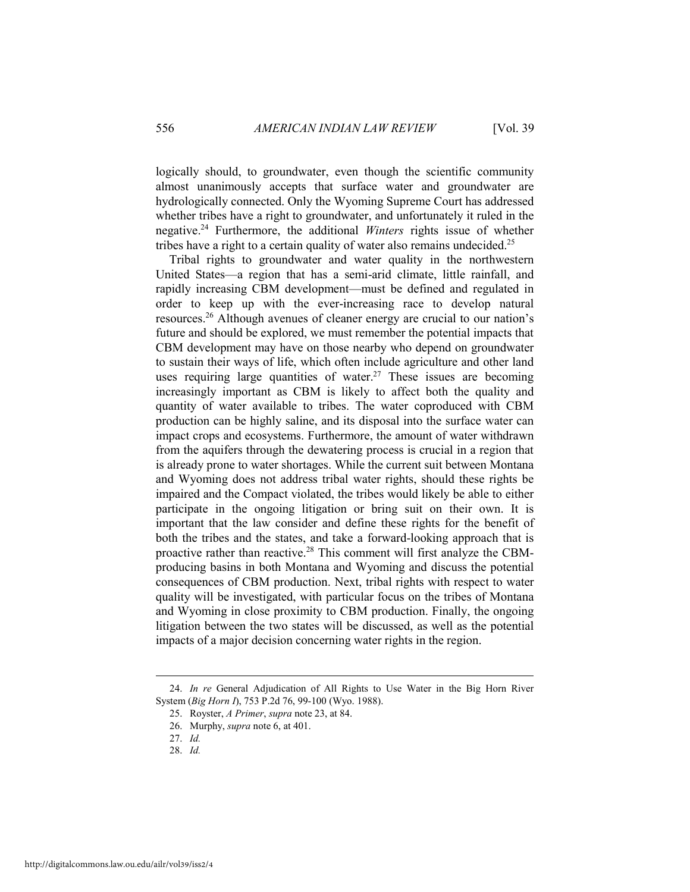logically should, to groundwater, even though the scientific community almost unanimously accepts that surface water and groundwater are hydrologically connected. Only the Wyoming Supreme Court has addressed whether tribes have a right to groundwater, and unfortunately it ruled in the negative.24 Furthermore, the additional *Winters* rights issue of whether tribes have a right to a certain quality of water also remains undecided.<sup>25</sup>

Tribal rights to groundwater and water quality in the northwestern United States—a region that has a semi-arid climate, little rainfall, and rapidly increasing CBM development—must be defined and regulated in order to keep up with the ever-increasing race to develop natural resources.26 Although avenues of cleaner energy are crucial to our nation's future and should be explored, we must remember the potential impacts that CBM development may have on those nearby who depend on groundwater to sustain their ways of life, which often include agriculture and other land uses requiring large quantities of water.<sup>27</sup> These issues are becoming increasingly important as CBM is likely to affect both the quality and quantity of water available to tribes. The water coproduced with CBM production can be highly saline, and its disposal into the surface water can impact crops and ecosystems. Furthermore, the amount of water withdrawn from the aquifers through the dewatering process is crucial in a region that is already prone to water shortages. While the current suit between Montana and Wyoming does not address tribal water rights, should these rights be impaired and the Compact violated, the tribes would likely be able to either participate in the ongoing litigation or bring suit on their own. It is important that the law consider and define these rights for the benefit of both the tribes and the states, and take a forward-looking approach that is proactive rather than reactive.28 This comment will first analyze the CBMproducing basins in both Montana and Wyoming and discuss the potential consequences of CBM production. Next, tribal rights with respect to water quality will be investigated, with particular focus on the tribes of Montana and Wyoming in close proximity to CBM production. Finally, the ongoing litigation between the two states will be discussed, as well as the potential impacts of a major decision concerning water rights in the region.

 <sup>24.</sup> *In re* General Adjudication of All Rights to Use Water in the Big Horn River System (*Big Horn I*), 753 P.2d 76, 99-100 (Wyo. 1988).

 <sup>25.</sup> Royster, *A Primer*, *supra* note 23, at 84.

 <sup>26.</sup> Murphy, *supra* note 6, at 401.

 <sup>27.</sup> *Id.* 

 <sup>28.</sup> *Id.*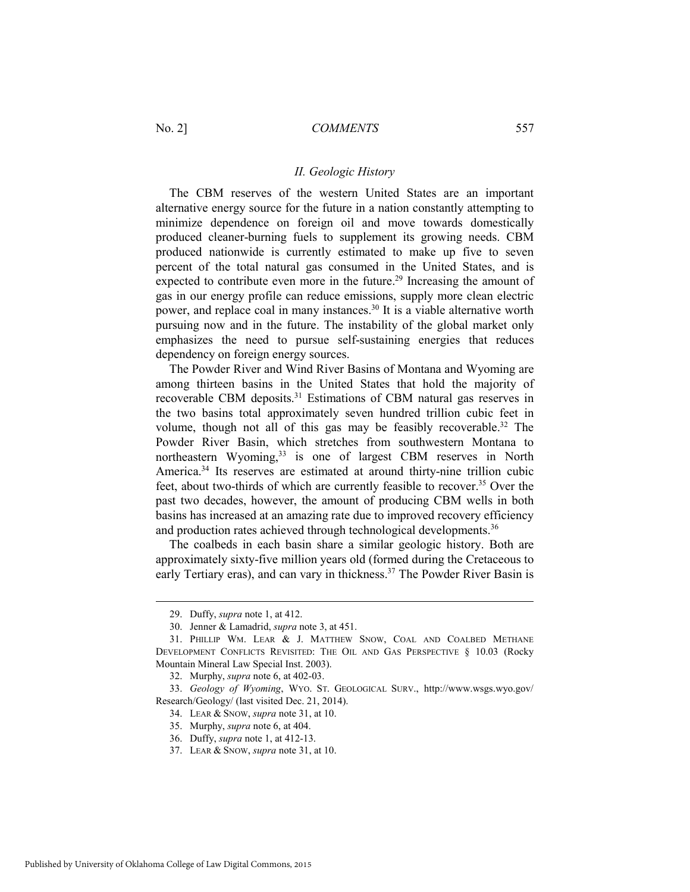#### *II. Geologic History*

The CBM reserves of the western United States are an important alternative energy source for the future in a nation constantly attempting to minimize dependence on foreign oil and move towards domestically produced cleaner-burning fuels to supplement its growing needs. CBM produced nationwide is currently estimated to make up five to seven percent of the total natural gas consumed in the United States, and is expected to contribute even more in the future.<sup>29</sup> Increasing the amount of gas in our energy profile can reduce emissions, supply more clean electric power, and replace coal in many instances.30 It is a viable alternative worth pursuing now and in the future. The instability of the global market only emphasizes the need to pursue self-sustaining energies that reduces dependency on foreign energy sources.

The Powder River and Wind River Basins of Montana and Wyoming are among thirteen basins in the United States that hold the majority of recoverable CBM deposits.31 Estimations of CBM natural gas reserves in the two basins total approximately seven hundred trillion cubic feet in volume, though not all of this gas may be feasibly recoverable.32 The Powder River Basin, which stretches from southwestern Montana to northeastern Wyoming,<sup>33</sup> is one of largest CBM reserves in North America.34 Its reserves are estimated at around thirty-nine trillion cubic feet, about two-thirds of which are currently feasible to recover.<sup>35</sup> Over the past two decades, however, the amount of producing CBM wells in both basins has increased at an amazing rate due to improved recovery efficiency and production rates achieved through technological developments.<sup>36</sup>

The coalbeds in each basin share a similar geologic history. Both are approximately sixty-five million years old (formed during the Cretaceous to early Tertiary eras), and can vary in thickness.<sup>37</sup> The Powder River Basin is

 <sup>29.</sup> Duffy, *supra* note 1, at 412.

 <sup>30.</sup> Jenner & Lamadrid, *supra* note 3, at 451.

 <sup>31.</sup> PHILLIP WM. LEAR & J. MATTHEW SNOW, COAL AND COALBED METHANE DEVELOPMENT CONFLICTS REVISITED: THE OIL AND GAS PERSPECTIVE § 10.03 (Rocky Mountain Mineral Law Special Inst. 2003).

 <sup>32.</sup> Murphy, *supra* note 6, at 402-03.

 <sup>33.</sup> *Geology of Wyoming*, WYO. ST. GEOLOGICAL SURV., http://www.wsgs.wyo.gov/ Research/Geology/ (last visited Dec. 21, 2014).

 <sup>34.</sup> LEAR & SNOW, *supra* note 31, at 10.

 <sup>35.</sup> Murphy, *supra* note 6, at 404.

 <sup>36.</sup> Duffy, *supra* note 1, at 412-13.

 <sup>37.</sup> LEAR & SNOW, *supra* note 31, at 10.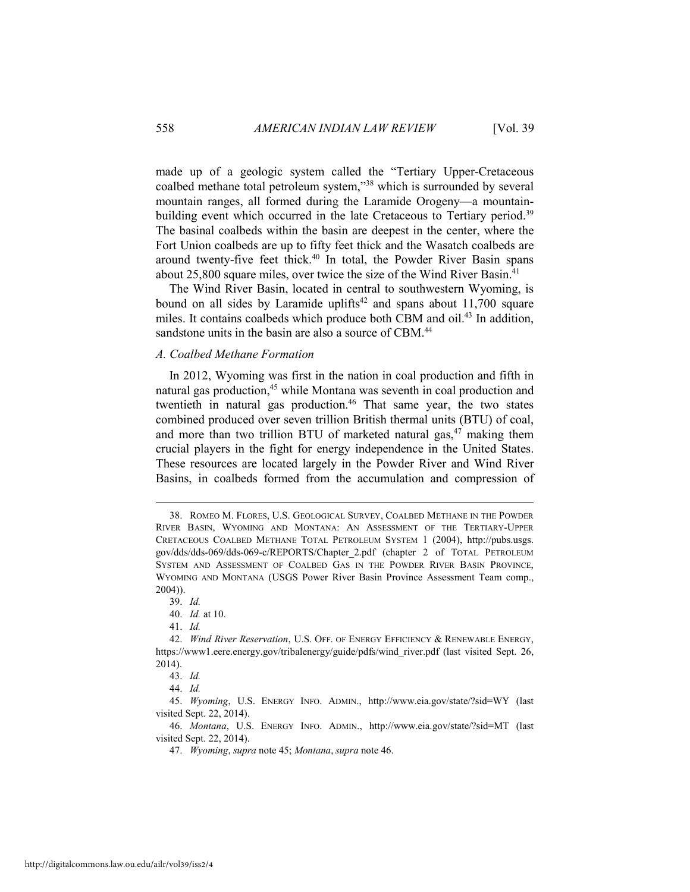made up of a geologic system called the "Tertiary Upper-Cretaceous coalbed methane total petroleum system,"38 which is surrounded by several mountain ranges, all formed during the Laramide Orogeny—a mountainbuilding event which occurred in the late Cretaceous to Tertiary period.<sup>39</sup> The basinal coalbeds within the basin are deepest in the center, where the Fort Union coalbeds are up to fifty feet thick and the Wasatch coalbeds are around twenty-five feet thick.<sup>40</sup> In total, the Powder River Basin spans about 25,800 square miles, over twice the size of the Wind River Basin.<sup>41</sup>

The Wind River Basin, located in central to southwestern Wyoming, is bound on all sides by Laramide uplifts<sup>42</sup> and spans about  $11,700$  square miles. It contains coalbeds which produce both CBM and oil.<sup>43</sup> In addition, sandstone units in the basin are also a source of CBM.<sup>44</sup>

#### *A. Coalbed Methane Formation*

In 2012, Wyoming was first in the nation in coal production and fifth in natural gas production,<sup>45</sup> while Montana was seventh in coal production and twentieth in natural gas production.<sup>46</sup> That same year, the two states combined produced over seven trillion British thermal units (BTU) of coal, and more than two trillion BTU of marketed natural gas, $47$  making them crucial players in the fight for energy independence in the United States. These resources are located largely in the Powder River and Wind River Basins, in coalbeds formed from the accumulation and compression of

 <sup>38.</sup> ROMEO M. FLORES, U.S. GEOLOGICAL SURVEY, COALBED METHANE IN THE POWDER RIVER BASIN, WYOMING AND MONTANA: AN ASSESSMENT OF THE TERTIARY-UPPER CRETACEOUS COALBED METHANE TOTAL PETROLEUM SYSTEM 1 (2004), http://pubs.usgs. gov/dds/dds-069/dds-069-c/REPORTS/Chapter\_2.pdf (chapter 2 of TOTAL PETROLEUM SYSTEM AND ASSESSMENT OF COALBED GAS IN THE POWDER RIVER BASIN PROVINCE, WYOMING AND MONTANA (USGS Power River Basin Province Assessment Team comp., 2004)).

 <sup>39.</sup> *Id.* 

 <sup>40.</sup> *Id.* at 10.

 <sup>41.</sup> *Id.*

 <sup>42.</sup> *Wind River Reservation*, U.S. OFF. OF ENERGY EFFICIENCY & RENEWABLE ENERGY, https://www1.eere.energy.gov/tribalenergy/guide/pdfs/wind\_river.pdf (last visited Sept. 26, 2014).

 <sup>43.</sup> *Id.* 

 <sup>44.</sup> *Id.* 

 <sup>45.</sup> *Wyoming*, U.S. ENERGY INFO. ADMIN., http://www.eia.gov/state/?sid=WY (last visited Sept. 22, 2014).

 <sup>46.</sup> *Montana*, U.S. ENERGY INFO. ADMIN., http://www.eia.gov/state/?sid=MT (last visited Sept. 22, 2014).

 <sup>47.</sup> *Wyoming*, *supra* note 45; *Montana*, *supra* note 46.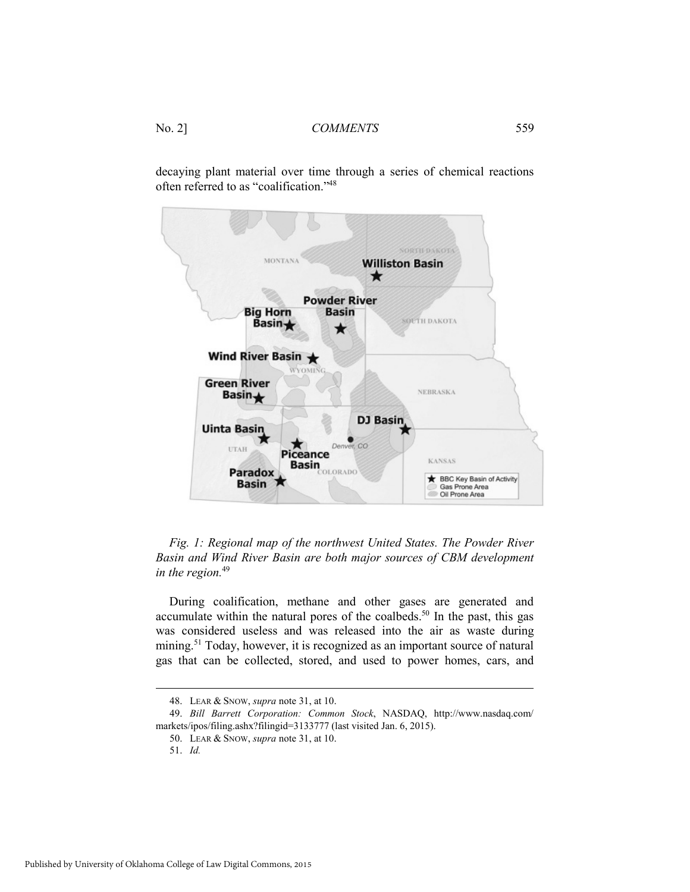decaying plant material over time through a series of chemical reactions often referred to as "coalification."48





During coalification, methane and other gases are generated and accumulate within the natural pores of the coalbeds.<sup>50</sup> In the past, this gas was considered useless and was released into the air as waste during mining.51 Today, however, it is recognized as an important source of natural gas that can be collected, stored, and used to power homes, cars, and

 <sup>48.</sup> LEAR & SNOW, *supra* note 31, at 10.

 <sup>49.</sup> *Bill Barrett Corporation: Common Stock*, NASDAQ, http://www.nasdaq.com/ markets/ipos/filing.ashx?filingid=3133777 (last visited Jan. 6, 2015).

 <sup>50.</sup> LEAR & SNOW, *supra* note 31, at 10.

 <sup>51.</sup> *Id.*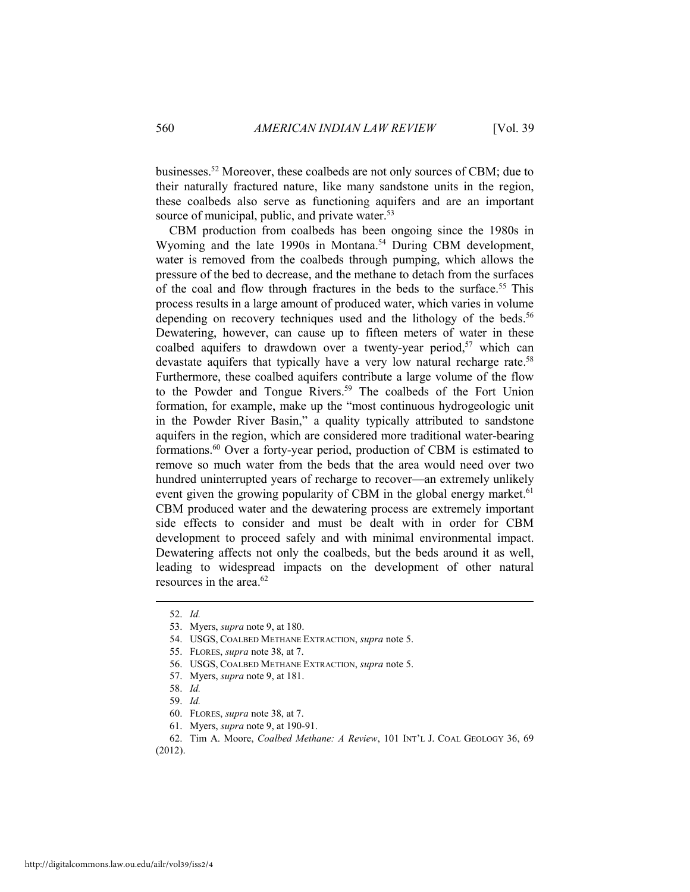businesses.52 Moreover, these coalbeds are not only sources of CBM; due to their naturally fractured nature, like many sandstone units in the region, these coalbeds also serve as functioning aquifers and are an important source of municipal, public, and private water.<sup>53</sup>

CBM production from coalbeds has been ongoing since the 1980s in Wyoming and the late 1990s in Montana.<sup>54</sup> During CBM development, water is removed from the coalbeds through pumping, which allows the pressure of the bed to decrease, and the methane to detach from the surfaces of the coal and flow through fractures in the beds to the surface.<sup>55</sup> This process results in a large amount of produced water, which varies in volume depending on recovery techniques used and the lithology of the beds.<sup>56</sup> Dewatering, however, can cause up to fifteen meters of water in these coalbed aquifers to drawdown over a twenty-year period, $57$  which can devastate aquifers that typically have a very low natural recharge rate.<sup>58</sup> Furthermore, these coalbed aquifers contribute a large volume of the flow to the Powder and Tongue Rivers.<sup>59</sup> The coalbeds of the Fort Union formation, for example, make up the "most continuous hydrogeologic unit in the Powder River Basin," a quality typically attributed to sandstone aquifers in the region, which are considered more traditional water-bearing formations.60 Over a forty-year period, production of CBM is estimated to remove so much water from the beds that the area would need over two hundred uninterrupted years of recharge to recover—an extremely unlikely event given the growing popularity of CBM in the global energy market.<sup>61</sup> CBM produced water and the dewatering process are extremely important side effects to consider and must be dealt with in order for CBM development to proceed safely and with minimal environmental impact. Dewatering affects not only the coalbeds, but the beds around it as well, leading to widespread impacts on the development of other natural resources in the area.62

 <sup>52.</sup> *Id.* 

 <sup>53.</sup> Myers, *supra* note 9, at 180.

 <sup>54.</sup> USGS, COALBED METHANE EXTRACTION, *supra* note 5.

 <sup>55.</sup> FLORES, *supra* note 38, at 7.

 <sup>56.</sup> USGS, COALBED METHANE EXTRACTION, *supra* note 5.

 <sup>57.</sup> Myers, *supra* note 9, at 181.

 <sup>58.</sup> *Id.*

 <sup>59.</sup> *Id.* 

 <sup>60.</sup> FLORES, *supra* note 38, at 7.

 <sup>61.</sup> Myers, *supra* note 9, at 190-91.

 <sup>62.</sup> Tim A. Moore, *Coalbed Methane: A Review*, 101 INT'L J. COAL GEOLOGY 36, 69 (2012).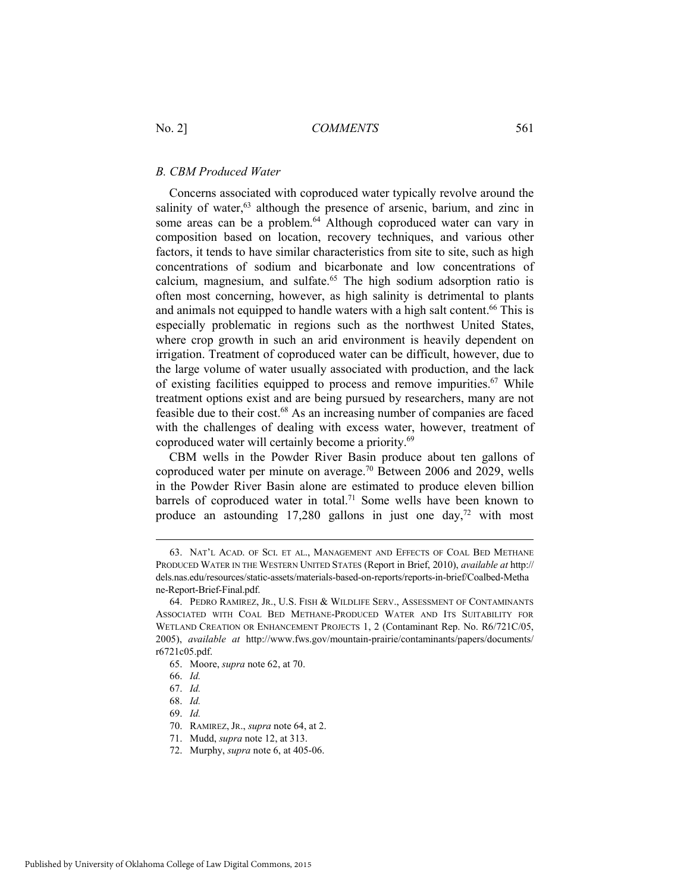#### *B. CBM Produced Water*

Concerns associated with coproduced water typically revolve around the salinity of water,<sup>63</sup> although the presence of arsenic, barium, and zinc in some areas can be a problem.<sup>64</sup> Although coproduced water can vary in composition based on location, recovery techniques, and various other factors, it tends to have similar characteristics from site to site, such as high concentrations of sodium and bicarbonate and low concentrations of calcium, magnesium, and sulfate.65 The high sodium adsorption ratio is often most concerning, however, as high salinity is detrimental to plants and animals not equipped to handle waters with a high salt content.<sup>66</sup> This is especially problematic in regions such as the northwest United States, where crop growth in such an arid environment is heavily dependent on irrigation. Treatment of coproduced water can be difficult, however, due to the large volume of water usually associated with production, and the lack of existing facilities equipped to process and remove impurities.<sup>67</sup> While treatment options exist and are being pursued by researchers, many are not feasible due to their cost.68 As an increasing number of companies are faced with the challenges of dealing with excess water, however, treatment of coproduced water will certainly become a priority.69

CBM wells in the Powder River Basin produce about ten gallons of coproduced water per minute on average.70 Between 2006 and 2029, wells in the Powder River Basin alone are estimated to produce eleven billion barrels of coproduced water in total.<sup>71</sup> Some wells have been known to produce an astounding  $17,280$  gallons in just one day,<sup>72</sup> with most

 <sup>63.</sup> NAT'L ACAD. OF SCI. ET AL., MANAGEMENT AND EFFECTS OF COAL BED METHANE PRODUCED WATER IN THE WESTERN UNITED STATES (Report in Brief, 2010), *available at* http:// dels.nas.edu/resources/static-assets/materials-based-on-reports/reports-in-brief/Coalbed-Metha ne-Report-Brief-Final.pdf.

 <sup>64.</sup> PEDRO RAMIREZ, JR., U.S. FISH & WILDLIFE SERV., ASSESSMENT OF CONTAMINANTS ASSOCIATED WITH COAL BED METHANE-PRODUCED WATER AND ITS SUITABILITY FOR WETLAND CREATION OR ENHANCEMENT PROJECTS 1, 2 (Contaminant Rep. No. R6/721C/05, 2005), *available at* http://www.fws.gov/mountain-prairie/contaminants/papers/documents/ r6721c05.pdf.

 <sup>65.</sup> Moore, *supra* note 62, at 70.

 <sup>66.</sup> *Id.*

 <sup>67.</sup> *Id.*

 <sup>68.</sup> *Id.*

 <sup>69.</sup> *Id.* 

 <sup>70.</sup> RAMIREZ, JR., *supra* note 64, at 2.

 <sup>71.</sup> Mudd, *supra* note 12, at 313.

 <sup>72.</sup> Murphy, *supra* note 6, at 405-06.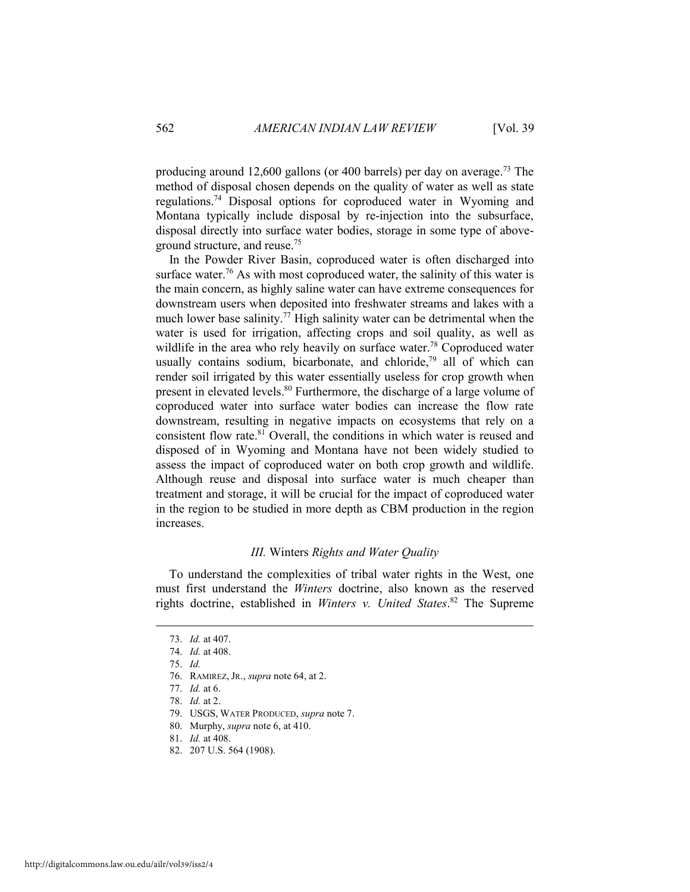producing around 12,600 gallons (or 400 barrels) per day on average.<sup>73</sup> The method of disposal chosen depends on the quality of water as well as state regulations.74 Disposal options for coproduced water in Wyoming and Montana typically include disposal by re-injection into the subsurface, disposal directly into surface water bodies, storage in some type of aboveground structure, and reuse.75

In the Powder River Basin, coproduced water is often discharged into surface water.<sup>76</sup> As with most coproduced water, the salinity of this water is the main concern, as highly saline water can have extreme consequences for downstream users when deposited into freshwater streams and lakes with a much lower base salinity.<sup>77</sup> High salinity water can be detrimental when the water is used for irrigation, affecting crops and soil quality, as well as wildlife in the area who rely heavily on surface water.<sup>78</sup> Coproduced water usually contains sodium, bicarbonate, and chloride,<sup>79</sup> all of which can render soil irrigated by this water essentially useless for crop growth when present in elevated levels.80 Furthermore, the discharge of a large volume of coproduced water into surface water bodies can increase the flow rate downstream, resulting in negative impacts on ecosystems that rely on a consistent flow rate.<sup>81</sup> Overall, the conditions in which water is reused and disposed of in Wyoming and Montana have not been widely studied to assess the impact of coproduced water on both crop growth and wildlife. Although reuse and disposal into surface water is much cheaper than treatment and storage, it will be crucial for the impact of coproduced water in the region to be studied in more depth as CBM production in the region increases.

#### *III.* Winters *Rights and Water Quality*

To understand the complexities of tribal water rights in the West, one must first understand the *Winters* doctrine, also known as the reserved rights doctrine, established in *Winters v. United States*. 82 The Supreme

- 81. *Id.* at 408.
- 82. 207 U.S. 564 (1908).

 <sup>73.</sup> *Id.* at 407.

 <sup>74.</sup> *Id.* at 408.

 <sup>75.</sup> *Id.*

 <sup>76.</sup> RAMIREZ, JR., *supra* note 64, at 2.

 <sup>77.</sup> *Id.* at 6.

 <sup>78.</sup> *Id.* at 2.

 <sup>79.</sup> USGS, WATER PRODUCED, *supra* note 7.

 <sup>80.</sup> Murphy, *supra* note 6, at 410.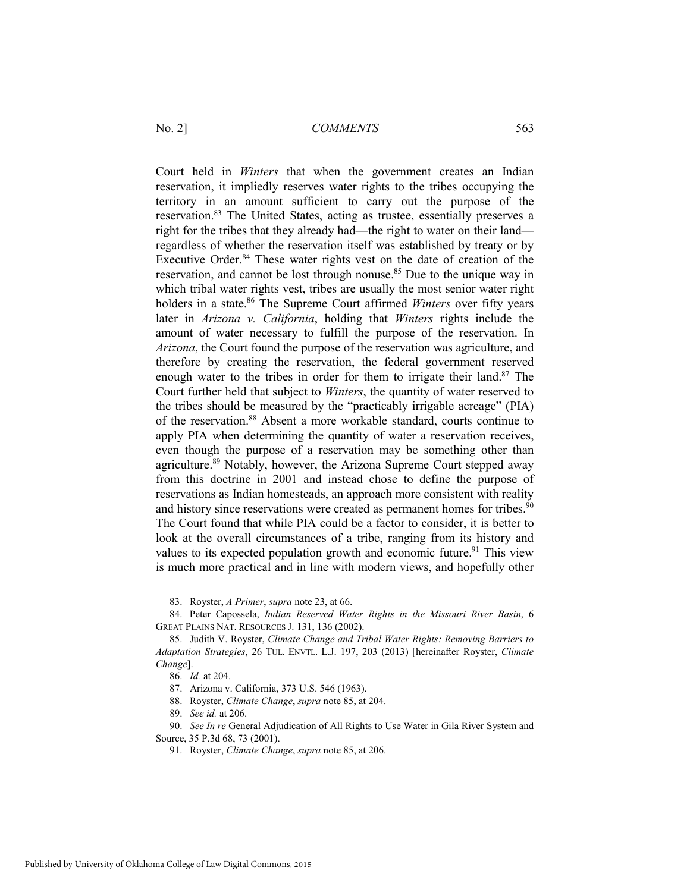Court held in *Winters* that when the government creates an Indian reservation, it impliedly reserves water rights to the tribes occupying the territory in an amount sufficient to carry out the purpose of the reservation.83 The United States, acting as trustee, essentially preserves a right for the tribes that they already had—the right to water on their land regardless of whether the reservation itself was established by treaty or by Executive Order.<sup>84</sup> These water rights vest on the date of creation of the reservation, and cannot be lost through nonuse.<sup>85</sup> Due to the unique way in which tribal water rights vest, tribes are usually the most senior water right holders in a state.<sup>86</sup> The Supreme Court affirmed *Winters* over fifty years later in *Arizona v. California*, holding that *Winters* rights include the amount of water necessary to fulfill the purpose of the reservation. In *Arizona*, the Court found the purpose of the reservation was agriculture, and therefore by creating the reservation, the federal government reserved enough water to the tribes in order for them to irrigate their land.<sup>87</sup> The Court further held that subject to *Winters*, the quantity of water reserved to the tribes should be measured by the "practicably irrigable acreage" (PIA) of the reservation.88 Absent a more workable standard, courts continue to apply PIA when determining the quantity of water a reservation receives, even though the purpose of a reservation may be something other than agriculture.<sup>89</sup> Notably, however, the Arizona Supreme Court stepped away from this doctrine in 2001 and instead chose to define the purpose of reservations as Indian homesteads, an approach more consistent with reality and history since reservations were created as permanent homes for tribes.<sup>90</sup> The Court found that while PIA could be a factor to consider, it is better to look at the overall circumstances of a tribe, ranging from its history and values to its expected population growth and economic future.<sup>91</sup> This view is much more practical and in line with modern views, and hopefully other

 <sup>83.</sup> Royster, *A Primer*, *supra* note 23, at 66.

 <sup>84.</sup> Peter Capossela, *Indian Reserved Water Rights in the Missouri River Basin*, 6 GREAT PLAINS NAT. RESOURCES J. 131, 136 (2002).

 <sup>85.</sup> Judith V. Royster, *Climate Change and Tribal Water Rights: Removing Barriers to Adaptation Strategies*, 26 TUL. ENVTL. L.J. 197, 203 (2013) [hereinafter Royster, *Climate Change*].

 <sup>86.</sup> *Id.* at 204.

 <sup>87.</sup> Arizona v. California, 373 U.S. 546 (1963).

 <sup>88.</sup> Royster, *Climate Change*, *supra* note 85, at 204.

 <sup>89.</sup> *See id.* at 206.

 <sup>90.</sup> *See In re* General Adjudication of All Rights to Use Water in Gila River System and Source, 35 P.3d 68, 73 (2001).

 <sup>91.</sup> Royster, *Climate Change*, *supra* note 85, at 206.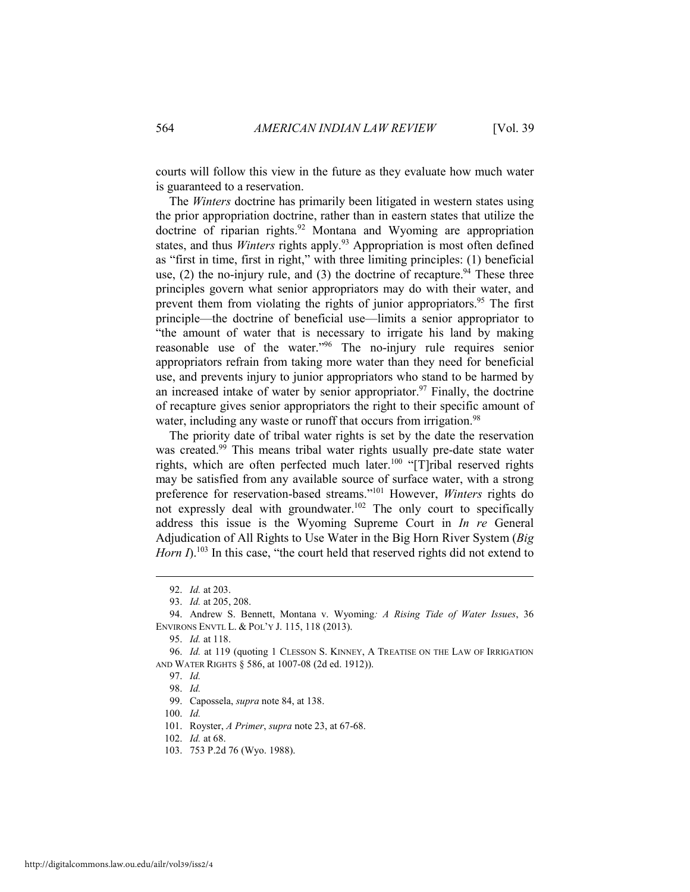courts will follow this view in the future as they evaluate how much water is guaranteed to a reservation.

The *Winters* doctrine has primarily been litigated in western states using the prior appropriation doctrine, rather than in eastern states that utilize the doctrine of riparian rights.92 Montana and Wyoming are appropriation states, and thus *Winters* rights apply.<sup>93</sup> Appropriation is most often defined as "first in time, first in right," with three limiting principles: (1) beneficial use,  $(2)$  the no-injury rule, and  $(3)$  the doctrine of recapture.<sup>94</sup> These three principles govern what senior appropriators may do with their water, and prevent them from violating the rights of junior appropriators.<sup>95</sup> The first principle—the doctrine of beneficial use—limits a senior appropriator to "the amount of water that is necessary to irrigate his land by making reasonable use of the water."96 The no-injury rule requires senior appropriators refrain from taking more water than they need for beneficial use, and prevents injury to junior appropriators who stand to be harmed by an increased intake of water by senior appropriator.<sup>97</sup> Finally, the doctrine of recapture gives senior appropriators the right to their specific amount of water, including any waste or runoff that occurs from irrigation.<sup>98</sup>

The priority date of tribal water rights is set by the date the reservation was created.<sup>99</sup> This means tribal water rights usually pre-date state water rights, which are often perfected much later.<sup>100</sup> "[T]ribal reserved rights may be satisfied from any available source of surface water, with a strong preference for reservation-based streams."101 However, *Winters* rights do not expressly deal with groundwater.<sup>102</sup> The only court to specifically address this issue is the Wyoming Supreme Court in *In re* General Adjudication of All Rights to Use Water in the Big Horn River System (*Big Horn I*).<sup>103</sup> In this case, "the court held that reserved rights did not extend to

 <sup>92.</sup> *Id.* at 203.

 <sup>93.</sup> *Id.* at 205, 208.

 <sup>94.</sup> Andrew S. Bennett, Montana v. Wyoming*: A Rising Tide of Water Issues*, 36 ENVIRONS ENVTL L. & POL'Y J. 115, 118 (2013).

 <sup>95.</sup> *Id.* at 118.

 <sup>96.</sup> *Id.* at 119 (quoting 1 CLESSON S. KINNEY, A TREATISE ON THE LAW OF IRRIGATION AND WATER RIGHTS § 586, at 1007-08 (2d ed. 1912)).

 <sup>97.</sup> *Id.*

 <sup>98.</sup> *Id.* 

 <sup>99.</sup> Capossela, *supra* note 84, at 138.

 <sup>100.</sup> *Id.*

 <sup>101.</sup> Royster, *A Primer*, *supra* note 23, at 67-68.

 <sup>102.</sup> *Id.* at 68.

 <sup>103. 753</sup> P.2d 76 (Wyo. 1988).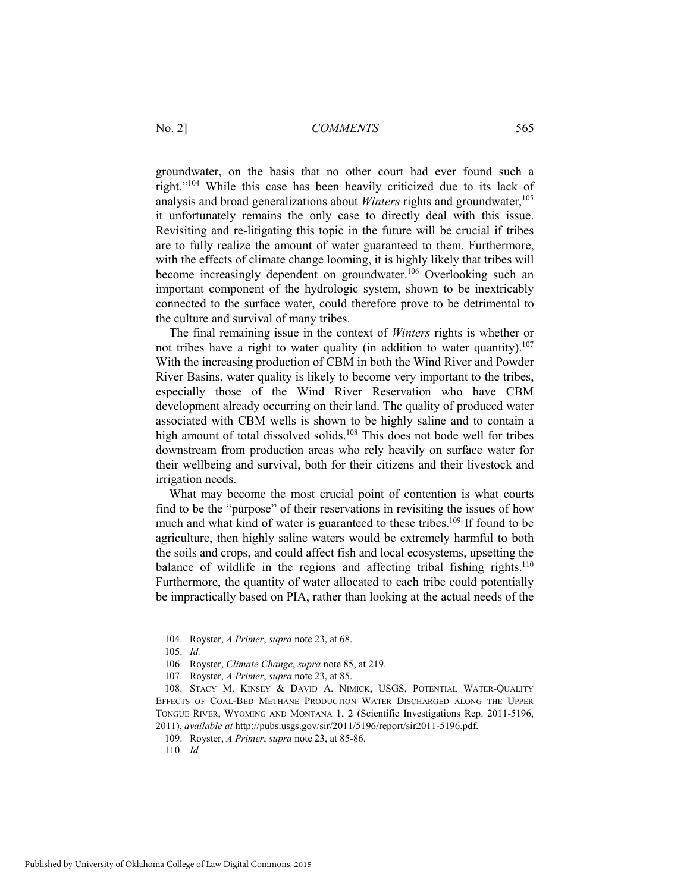groundwater, on the basis that no other court had ever found such a right."104 While this case has been heavily criticized due to its lack of analysis and broad generalizations about *Winters* rights and groundwater,<sup>105</sup> it unfortunately remains the only case to directly deal with this issue. Revisiting and re-litigating this topic in the future will be crucial if tribes are to fully realize the amount of water guaranteed to them. Furthermore, with the effects of climate change looming, it is highly likely that tribes will become increasingly dependent on groundwater.<sup>106</sup> Overlooking such an important component of the hydrologic system, shown to be inextricably connected to the surface water, could therefore prove to be detrimental to the culture and survival of many tribes.

The final remaining issue in the context of *Winters* rights is whether or not tribes have a right to water quality (in addition to water quantity).<sup>107</sup> With the increasing production of CBM in both the Wind River and Powder River Basins, water quality is likely to become very important to the tribes, especially those of the Wind River Reservation who have CBM development already occurring on their land. The quality of produced water associated with CBM wells is shown to be highly saline and to contain a high amount of total dissolved solids.<sup>108</sup> This does not bode well for tribes downstream from production areas who rely heavily on surface water for their wellbeing and survival, both for their citizens and their livestock and irrigation needs.

What may become the most crucial point of contention is what courts find to be the "purpose" of their reservations in revisiting the issues of how much and what kind of water is guaranteed to these tribes.<sup>109</sup> If found to be agriculture, then highly saline waters would be extremely harmful to both the soils and crops, and could affect fish and local ecosystems, upsetting the balance of wildlife in the regions and affecting tribal fishing rights.<sup>110</sup> Furthermore, the quantity of water allocated to each tribe could potentially be impractically based on PIA, rather than looking at the actual needs of the

 <sup>104.</sup> Royster, *A Primer*, *supra* note 23, at 68.

 <sup>105.</sup> *Id.*

 <sup>106.</sup> Royster, *Climate Change*, *supra* note 85, at 219.

 <sup>107.</sup> Royster, *A Primer*, *supra* note 23, at 85.

 <sup>108.</sup> STACY M. KINSEY & DAVID A. NIMICK, USGS, POTENTIAL WATER-QUALITY EFFECTS OF COAL-BED METHANE PRODUCTION WATER DISCHARGED ALONG THE UPPER TONGUE RIVER, WYOMING AND MONTANA 1, 2 (Scientific Investigations Rep. 2011-5196, 2011), *available at* http://pubs.usgs.gov/sir/2011/5196/report/sir2011-5196.pdf.

 <sup>109.</sup> Royster, *A Primer*, *supra* note 23, at 85-86.

 <sup>110.</sup> *Id.*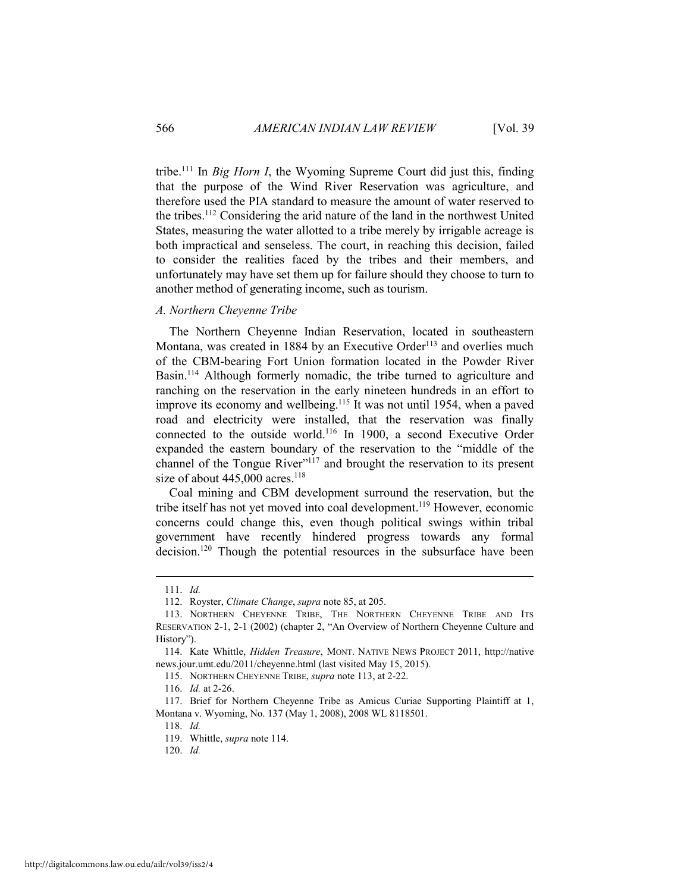tribe.111 In *Big Horn I*, the Wyoming Supreme Court did just this, finding that the purpose of the Wind River Reservation was agriculture, and therefore used the PIA standard to measure the amount of water reserved to the tribes.112 Considering the arid nature of the land in the northwest United States, measuring the water allotted to a tribe merely by irrigable acreage is both impractical and senseless. The court, in reaching this decision, failed to consider the realities faced by the tribes and their members, and unfortunately may have set them up for failure should they choose to turn to another method of generating income, such as tourism.

### *A. Northern Cheyenne Tribe*

The Northern Cheyenne Indian Reservation, located in southeastern Montana, was created in 1884 by an Executive Order<sup>113</sup> and overlies much of the CBM-bearing Fort Union formation located in the Powder River Basin.<sup>114</sup> Although formerly nomadic, the tribe turned to agriculture and ranching on the reservation in the early nineteen hundreds in an effort to improve its economy and wellbeing.<sup>115</sup> It was not until 1954, when a paved road and electricity were installed, that the reservation was finally connected to the outside world.116 In 1900, a second Executive Order expanded the eastern boundary of the reservation to the "middle of the channel of the Tongue River"<sup>117</sup> and brought the reservation to its present size of about  $445,000$  acres.<sup>118</sup>

Coal mining and CBM development surround the reservation, but the tribe itself has not yet moved into coal development.119 However, economic concerns could change this, even though political swings within tribal government have recently hindered progress towards any formal decision.<sup>120</sup> Though the potential resources in the subsurface have been

 <sup>111.</sup> *Id.*

 <sup>112.</sup> Royster, *Climate Change*, *supra* note 85, at 205.

 <sup>113.</sup> NORTHERN CHEYENNE TRIBE, THE NORTHERN CHEYENNE TRIBE AND ITS RESERVATION 2-1, 2-1 (2002) (chapter 2, "An Overview of Northern Cheyenne Culture and History").

 <sup>114.</sup> Kate Whittle, *Hidden Treasure*, MONT. NATIVE NEWS PROJECT 2011, http://native news.jour.umt.edu/2011/cheyenne.html (last visited May 15, 2015).

 <sup>115.</sup> NORTHERN CHEYENNE TRIBE, *supra* note 113, at 2-22.

 <sup>116.</sup> *Id.* at 2-26.

 <sup>117.</sup> Brief for Northern Cheyenne Tribe as Amicus Curiae Supporting Plaintiff at 1, Montana v. Wyoming, No. 137 (May 1, 2008), 2008 WL 8118501.

 <sup>118.</sup> *Id.*

 <sup>119.</sup> Whittle, *supra* note 114.

 <sup>120.</sup> *Id.*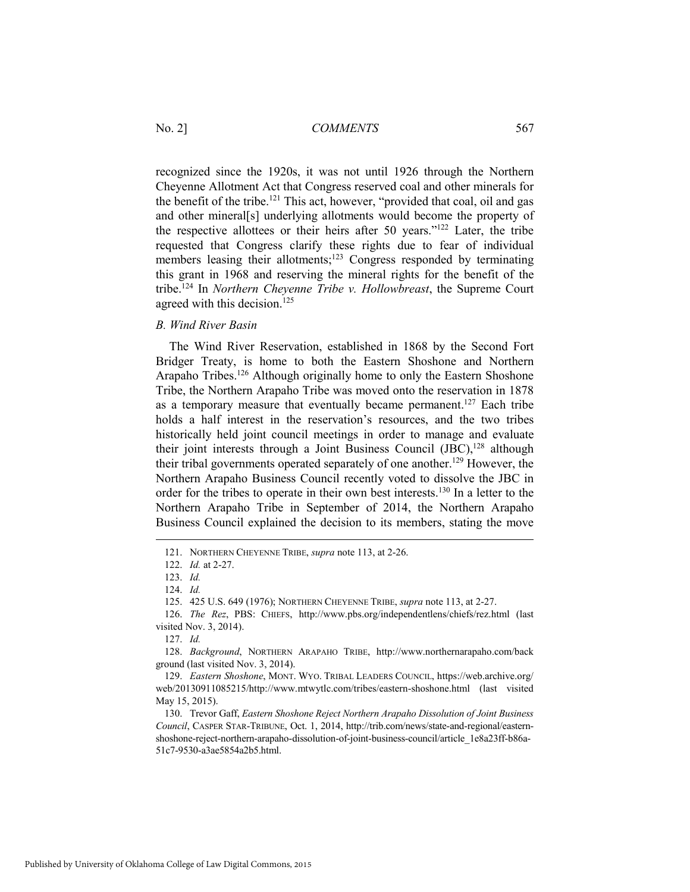recognized since the 1920s, it was not until 1926 through the Northern Cheyenne Allotment Act that Congress reserved coal and other minerals for the benefit of the tribe.<sup>121</sup> This act, however, "provided that coal, oil and gas and other mineral[s] underlying allotments would become the property of the respective allottees or their heirs after 50 years."122 Later, the tribe requested that Congress clarify these rights due to fear of individual members leasing their allotments;<sup>123</sup> Congress responded by terminating this grant in 1968 and reserving the mineral rights for the benefit of the tribe.124 In *Northern Cheyenne Tribe v. Hollowbreast*, the Supreme Court agreed with this decision.<sup>125</sup>

*B. Wind River Basin* 

The Wind River Reservation, established in 1868 by the Second Fort Bridger Treaty, is home to both the Eastern Shoshone and Northern Arapaho Tribes.<sup>126</sup> Although originally home to only the Eastern Shoshone Tribe, the Northern Arapaho Tribe was moved onto the reservation in 1878 as a temporary measure that eventually became permanent.<sup>127</sup> Each tribe holds a half interest in the reservation's resources, and the two tribes historically held joint council meetings in order to manage and evaluate their joint interests through a Joint Business Council  $(IBC)$ ,  $128$  although their tribal governments operated separately of one another.129 However, the Northern Arapaho Business Council recently voted to dissolve the JBC in order for the tribes to operate in their own best interests.<sup>130</sup> In a letter to the Northern Arapaho Tribe in September of 2014, the Northern Arapaho Business Council explained the decision to its members, stating the move

 <sup>121.</sup> NORTHERN CHEYENNE TRIBE, *supra* note 113, at 2-26.

 <sup>122.</sup> *Id.* at 2-27.

 <sup>123.</sup> *Id.*

 <sup>124.</sup> *Id.*

 <sup>125. 425</sup> U.S. 649 (1976); NORTHERN CHEYENNE TRIBE, *supra* note 113, at 2-27.

 <sup>126.</sup> *The Rez*, PBS: CHIEFS, http://www.pbs.org/independentlens/chiefs/rez.html (last visited Nov. 3, 2014).

 <sup>127.</sup> *Id.*

 <sup>128.</sup> *Background*, NORTHERN ARAPAHO TRIBE, http://www.northernarapaho.com/back ground (last visited Nov. 3, 2014).

 <sup>129.</sup> *Eastern Shoshone*, MONT. WYO. TRIBAL LEADERS COUNCIL, https://web.archive.org/ web/20130911085215/http://www.mtwytlc.com/tribes/eastern-shoshone.html (last visited May 15, 2015).

 <sup>130.</sup> Trevor Gaff, *Eastern Shoshone Reject Northern Arapaho Dissolution of Joint Business Council*, CASPER STAR-TRIBUNE, Oct. 1, 2014, http://trib.com/news/state-and-regional/easternshoshone-reject-northern-arapaho-dissolution-of-joint-business-council/article\_1e8a23ff-b86a-51c7-9530-a3ae5854a2b5.html.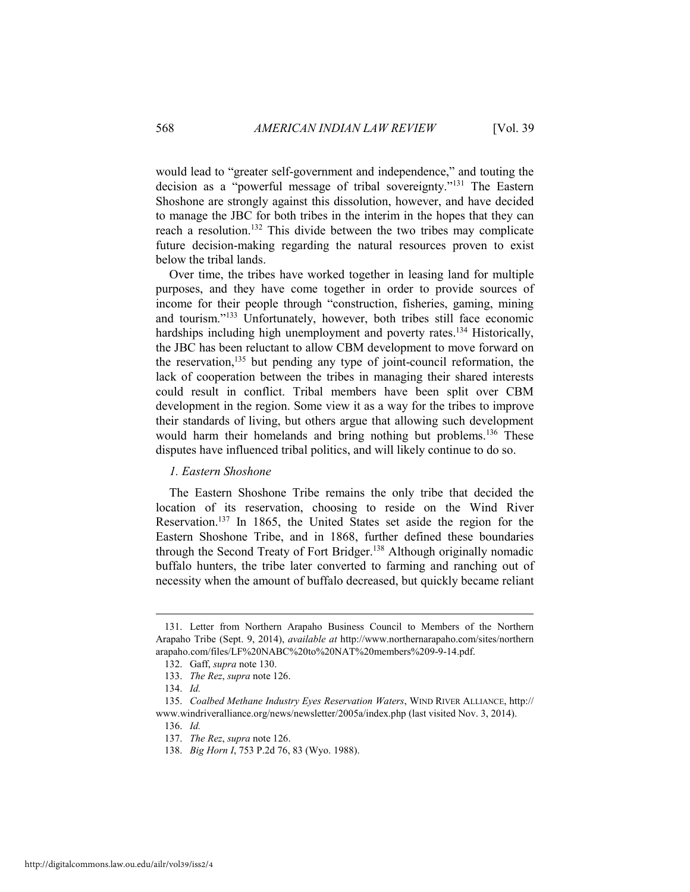would lead to "greater self-government and independence," and touting the decision as a "powerful message of tribal sovereignty."131 The Eastern Shoshone are strongly against this dissolution, however, and have decided to manage the JBC for both tribes in the interim in the hopes that they can reach a resolution.132 This divide between the two tribes may complicate future decision-making regarding the natural resources proven to exist below the tribal lands.

Over time, the tribes have worked together in leasing land for multiple purposes, and they have come together in order to provide sources of income for their people through "construction, fisheries, gaming, mining and tourism."133 Unfortunately, however, both tribes still face economic hardships including high unemployment and poverty rates.<sup>134</sup> Historically, the JBC has been reluctant to allow CBM development to move forward on the reservation, $135$  but pending any type of joint-council reformation, the lack of cooperation between the tribes in managing their shared interests could result in conflict. Tribal members have been split over CBM development in the region. Some view it as a way for the tribes to improve their standards of living, but others argue that allowing such development would harm their homelands and bring nothing but problems.<sup>136</sup> These disputes have influenced tribal politics, and will likely continue to do so.

#### *1. Eastern Shoshone*

The Eastern Shoshone Tribe remains the only tribe that decided the location of its reservation, choosing to reside on the Wind River Reservation.137 In 1865, the United States set aside the region for the Eastern Shoshone Tribe, and in 1868, further defined these boundaries through the Second Treaty of Fort Bridger.<sup>138</sup> Although originally nomadic buffalo hunters, the tribe later converted to farming and ranching out of necessity when the amount of buffalo decreased, but quickly became reliant

 <sup>131.</sup> Letter from Northern Arapaho Business Council to Members of the Northern Arapaho Tribe (Sept. 9, 2014), *available at* http://www.northernarapaho.com/sites/northern arapaho.com/files/LF%20NABC%20to%20NAT%20members%209-9-14.pdf.

 <sup>132.</sup> Gaff, *supra* note 130.

 <sup>133.</sup> *The Rez*, *supra* note 126.

 <sup>134.</sup> *Id.*

 <sup>135.</sup> *Coalbed Methane Industry Eyes Reservation Waters*, WIND RIVER ALLIANCE, http:// www.windriveralliance.org/news/newsletter/2005a/index.php (last visited Nov. 3, 2014).

 <sup>136.</sup> *Id.* 

 <sup>137.</sup> *The Rez*, *supra* note 126.

 <sup>138.</sup> *Big Horn I*, 753 P.2d 76, 83 (Wyo. 1988).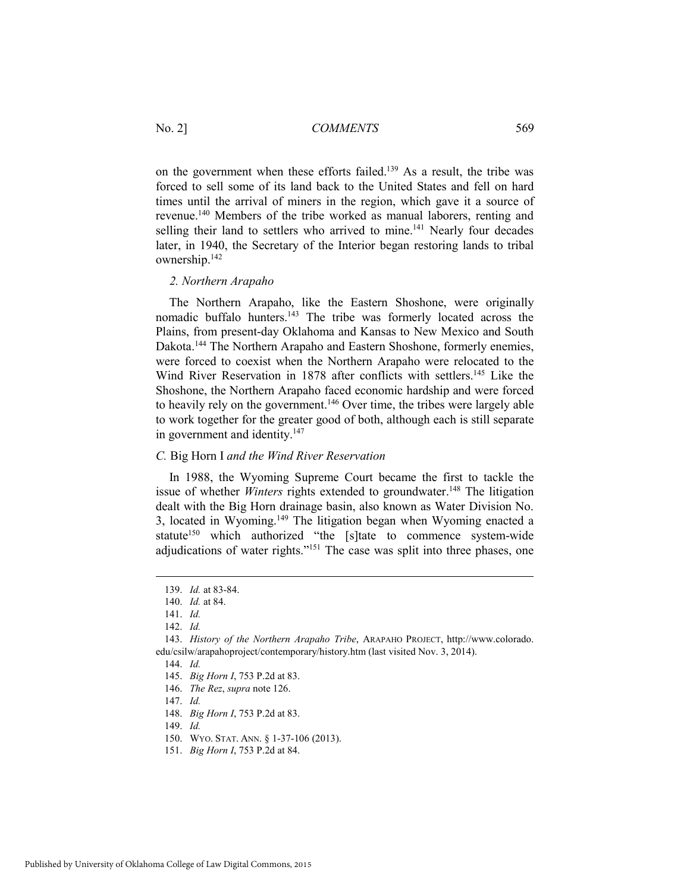on the government when these efforts failed.<sup>139</sup> As a result, the tribe was forced to sell some of its land back to the United States and fell on hard times until the arrival of miners in the region, which gave it a source of revenue.140 Members of the tribe worked as manual laborers, renting and selling their land to settlers who arrived to mine.<sup>141</sup> Nearly four decades later, in 1940, the Secretary of the Interior began restoring lands to tribal ownership.142

#### *2. Northern Arapaho*

The Northern Arapaho, like the Eastern Shoshone, were originally nomadic buffalo hunters.<sup>143</sup> The tribe was formerly located across the Plains, from present-day Oklahoma and Kansas to New Mexico and South Dakota.144 The Northern Arapaho and Eastern Shoshone, formerly enemies, were forced to coexist when the Northern Arapaho were relocated to the Wind River Reservation in 1878 after conflicts with settlers.<sup>145</sup> Like the Shoshone, the Northern Arapaho faced economic hardship and were forced to heavily rely on the government.<sup>146</sup> Over time, the tribes were largely able to work together for the greater good of both, although each is still separate in government and identity.<sup>147</sup>

#### *C.* Big Horn I *and the Wind River Reservation*

In 1988, the Wyoming Supreme Court became the first to tackle the issue of whether *Winters* rights extended to groundwater.<sup>148</sup> The litigation dealt with the Big Horn drainage basin, also known as Water Division No. 3, located in Wyoming.149 The litigation began when Wyoming enacted a statute<sup>150</sup> which authorized "the [s]tate to commence system-wide adjudications of water rights."151 The case was split into three phases, one

 $\overline{a}$ 

149. *Id.*

 <sup>139.</sup> *Id.* at 83-84.

 <sup>140.</sup> *Id.* at 84.

 <sup>141.</sup> *Id.*

 <sup>142.</sup> *Id.*

 <sup>143.</sup> *History of the Northern Arapaho Tribe*, ARAPAHO PROJECT, http://www.colorado. edu/csilw/arapahoproject/contemporary/history.htm (last visited Nov. 3, 2014).

 <sup>144.</sup> *Id.* 

 <sup>145.</sup> *Big Horn I*, 753 P.2d at 83.

 <sup>146.</sup> *The Rez*, *supra* note 126.

 <sup>147.</sup> *Id.*

 <sup>148.</sup> *Big Horn I*, 753 P.2d at 83.

 <sup>150.</sup> WYO. STAT. ANN. § 1-37-106 (2013).

 <sup>151.</sup> *Big Horn I*, 753 P.2d at 84.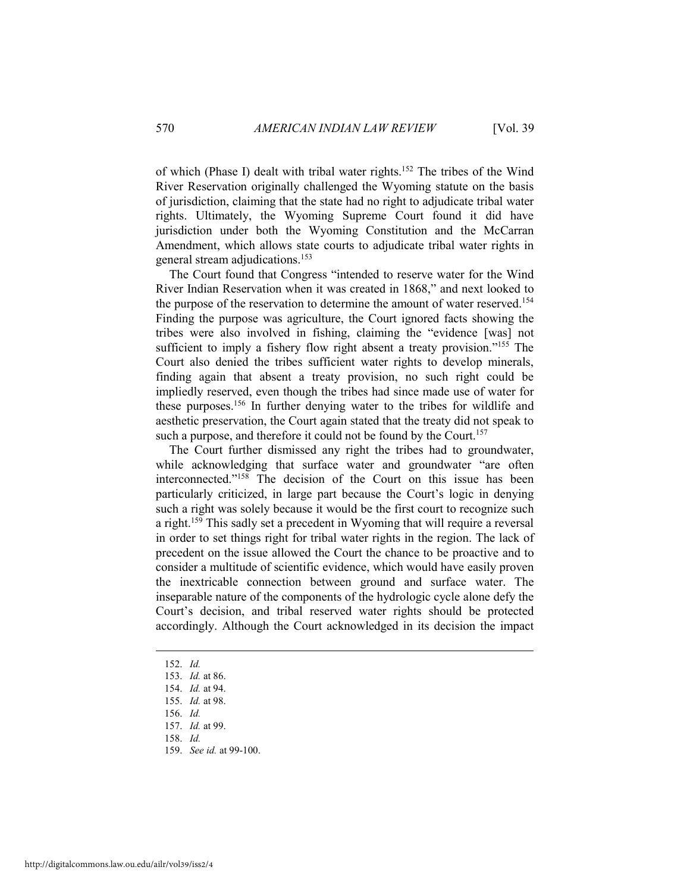of which (Phase I) dealt with tribal water rights.152 The tribes of the Wind River Reservation originally challenged the Wyoming statute on the basis of jurisdiction, claiming that the state had no right to adjudicate tribal water rights. Ultimately, the Wyoming Supreme Court found it did have jurisdiction under both the Wyoming Constitution and the McCarran Amendment, which allows state courts to adjudicate tribal water rights in general stream adjudications.153

The Court found that Congress "intended to reserve water for the Wind River Indian Reservation when it was created in 1868," and next looked to the purpose of the reservation to determine the amount of water reserved.<sup>154</sup> Finding the purpose was agriculture, the Court ignored facts showing the tribes were also involved in fishing, claiming the "evidence [was] not sufficient to imply a fishery flow right absent a treaty provision."<sup>155</sup> The Court also denied the tribes sufficient water rights to develop minerals, finding again that absent a treaty provision, no such right could be impliedly reserved, even though the tribes had since made use of water for these purposes.156 In further denying water to the tribes for wildlife and aesthetic preservation, the Court again stated that the treaty did not speak to such a purpose, and therefore it could not be found by the Court.<sup>157</sup>

The Court further dismissed any right the tribes had to groundwater, while acknowledging that surface water and groundwater "are often interconnected."<sup>158</sup> The decision of the Court on this issue has been particularly criticized, in large part because the Court's logic in denying such a right was solely because it would be the first court to recognize such a right.159 This sadly set a precedent in Wyoming that will require a reversal in order to set things right for tribal water rights in the region. The lack of precedent on the issue allowed the Court the chance to be proactive and to consider a multitude of scientific evidence, which would have easily proven the inextricable connection between ground and surface water. The inseparable nature of the components of the hydrologic cycle alone defy the Court's decision, and tribal reserved water rights should be protected accordingly. Although the Court acknowledged in its decision the impact

152. *Id.*

 $\overline{a}$ 

- 153. *Id.* at 86.
- 154. *Id.* at 94.

159. *See id.* at 99-100.

 <sup>155.</sup> *Id.* at 98.

 <sup>156.</sup> *Id.*

 <sup>157.</sup> *Id.* at 99.

 <sup>158.</sup> *Id.*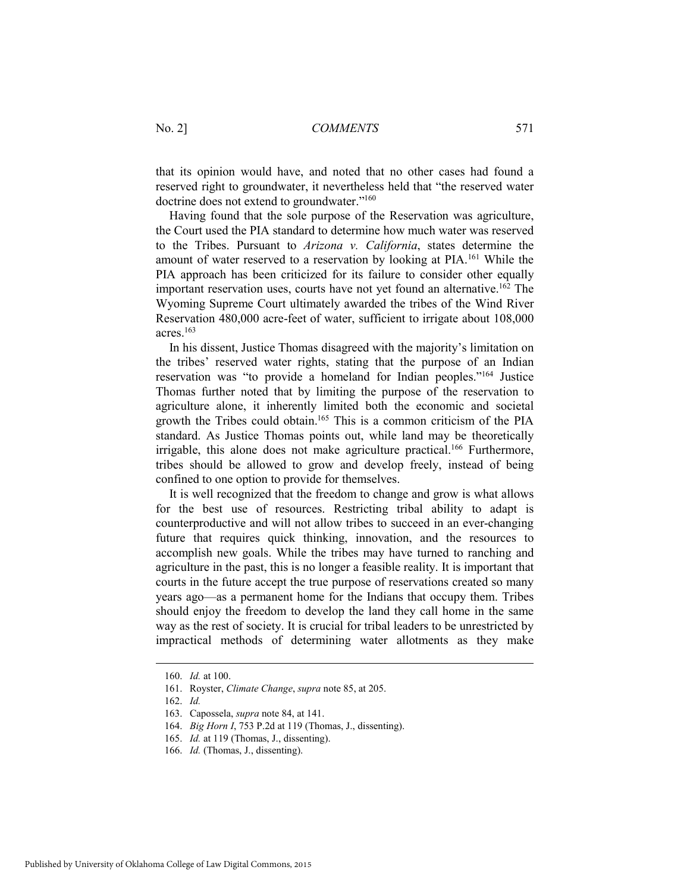that its opinion would have, and noted that no other cases had found a reserved right to groundwater, it nevertheless held that "the reserved water doctrine does not extend to groundwater."160

Having found that the sole purpose of the Reservation was agriculture, the Court used the PIA standard to determine how much water was reserved to the Tribes. Pursuant to *Arizona v. California*, states determine the amount of water reserved to a reservation by looking at PIA.<sup>161</sup> While the PIA approach has been criticized for its failure to consider other equally important reservation uses, courts have not yet found an alternative.<sup>162</sup> The Wyoming Supreme Court ultimately awarded the tribes of the Wind River Reservation 480,000 acre-feet of water, sufficient to irrigate about 108,000 acres.163

In his dissent, Justice Thomas disagreed with the majority's limitation on the tribes' reserved water rights, stating that the purpose of an Indian reservation was "to provide a homeland for Indian peoples."164 Justice Thomas further noted that by limiting the purpose of the reservation to agriculture alone, it inherently limited both the economic and societal growth the Tribes could obtain.165 This is a common criticism of the PIA standard. As Justice Thomas points out, while land may be theoretically irrigable, this alone does not make agriculture practical.<sup>166</sup> Furthermore, tribes should be allowed to grow and develop freely, instead of being confined to one option to provide for themselves.

It is well recognized that the freedom to change and grow is what allows for the best use of resources. Restricting tribal ability to adapt is counterproductive and will not allow tribes to succeed in an ever-changing future that requires quick thinking, innovation, and the resources to accomplish new goals. While the tribes may have turned to ranching and agriculture in the past, this is no longer a feasible reality. It is important that courts in the future accept the true purpose of reservations created so many years ago—as a permanent home for the Indians that occupy them. Tribes should enjoy the freedom to develop the land they call home in the same way as the rest of society. It is crucial for tribal leaders to be unrestricted by impractical methods of determining water allotments as they make

 <sup>160.</sup> *Id.* at 100.

 <sup>161.</sup> Royster, *Climate Change*, *supra* note 85, at 205.

 <sup>162.</sup> *Id.*

 <sup>163.</sup> Capossela, *supra* note 84, at 141.

 <sup>164.</sup> *Big Horn I*, 753 P.2d at 119 (Thomas, J., dissenting).

 <sup>165.</sup> *Id.* at 119 (Thomas, J., dissenting).

 <sup>166.</sup> *Id.* (Thomas, J., dissenting).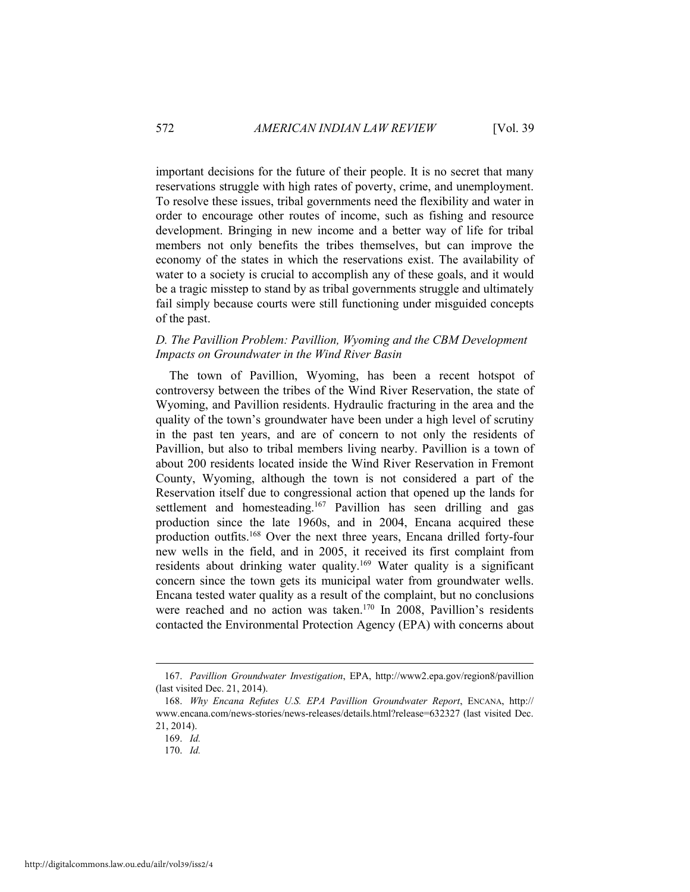important decisions for the future of their people. It is no secret that many reservations struggle with high rates of poverty, crime, and unemployment. To resolve these issues, tribal governments need the flexibility and water in order to encourage other routes of income, such as fishing and resource development. Bringing in new income and a better way of life for tribal members not only benefits the tribes themselves, but can improve the economy of the states in which the reservations exist. The availability of water to a society is crucial to accomplish any of these goals, and it would be a tragic misstep to stand by as tribal governments struggle and ultimately fail simply because courts were still functioning under misguided concepts of the past.

#### *D. The Pavillion Problem: Pavillion, Wyoming and the CBM Development Impacts on Groundwater in the Wind River Basin*

The town of Pavillion, Wyoming, has been a recent hotspot of controversy between the tribes of the Wind River Reservation, the state of Wyoming, and Pavillion residents. Hydraulic fracturing in the area and the quality of the town's groundwater have been under a high level of scrutiny in the past ten years, and are of concern to not only the residents of Pavillion, but also to tribal members living nearby. Pavillion is a town of about 200 residents located inside the Wind River Reservation in Fremont County, Wyoming, although the town is not considered a part of the Reservation itself due to congressional action that opened up the lands for settlement and homesteading.<sup>167</sup> Pavillion has seen drilling and gas production since the late 1960s, and in 2004, Encana acquired these production outfits.168 Over the next three years, Encana drilled forty-four new wells in the field, and in 2005, it received its first complaint from residents about drinking water quality.169 Water quality is a significant concern since the town gets its municipal water from groundwater wells. Encana tested water quality as a result of the complaint, but no conclusions were reached and no action was taken.<sup>170</sup> In 2008, Pavillion's residents contacted the Environmental Protection Agency (EPA) with concerns about

 <sup>167.</sup> *Pavillion Groundwater Investigation*, EPA, http://www2.epa.gov/region8/pavillion (last visited Dec. 21, 2014).

 <sup>168.</sup> *Why Encana Refutes U.S. EPA Pavillion Groundwater Report*, ENCANA, http:// www.encana.com/news-stories/news-releases/details.html?release=632327 (last visited Dec. 21, 2014).

 <sup>169.</sup> *Id.*

 <sup>170.</sup> *Id.*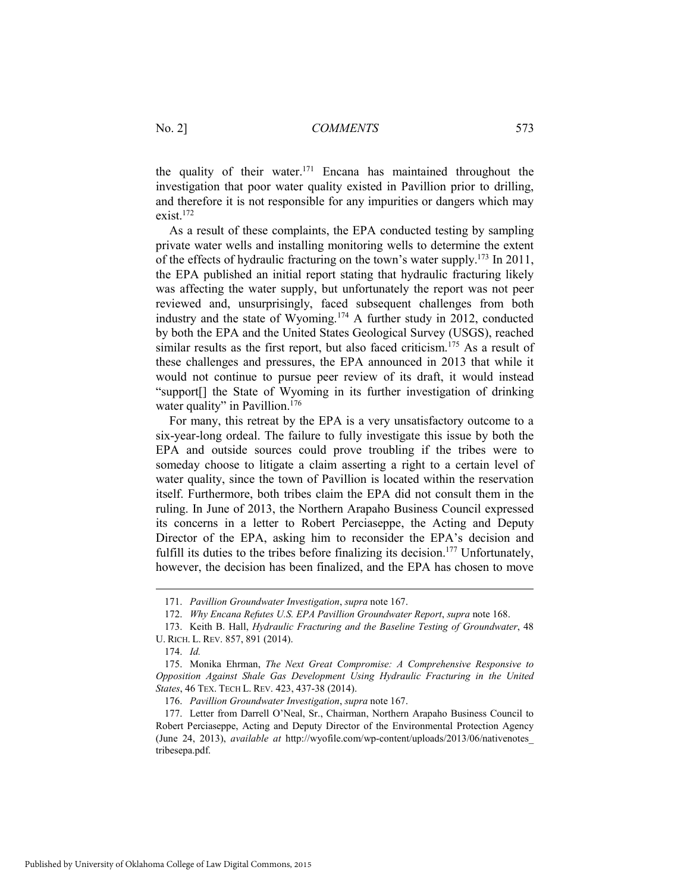the quality of their water.<sup>171</sup> Encana has maintained throughout the investigation that poor water quality existed in Pavillion prior to drilling, and therefore it is not responsible for any impurities or dangers which may exist.172

As a result of these complaints, the EPA conducted testing by sampling private water wells and installing monitoring wells to determine the extent of the effects of hydraulic fracturing on the town's water supply.173 In 2011, the EPA published an initial report stating that hydraulic fracturing likely was affecting the water supply, but unfortunately the report was not peer reviewed and, unsurprisingly, faced subsequent challenges from both industry and the state of Wyoming.174 A further study in 2012, conducted by both the EPA and the United States Geological Survey (USGS), reached similar results as the first report, but also faced criticism.<sup>175</sup> As a result of these challenges and pressures, the EPA announced in 2013 that while it would not continue to pursue peer review of its draft, it would instead "support[] the State of Wyoming in its further investigation of drinking water quality" in Pavillion.<sup>176</sup>

For many, this retreat by the EPA is a very unsatisfactory outcome to a six-year-long ordeal. The failure to fully investigate this issue by both the EPA and outside sources could prove troubling if the tribes were to someday choose to litigate a claim asserting a right to a certain level of water quality, since the town of Pavillion is located within the reservation itself. Furthermore, both tribes claim the EPA did not consult them in the ruling. In June of 2013, the Northern Arapaho Business Council expressed its concerns in a letter to Robert Perciaseppe, the Acting and Deputy Director of the EPA, asking him to reconsider the EPA's decision and fulfill its duties to the tribes before finalizing its decision.<sup>177</sup> Unfortunately, however, the decision has been finalized, and the EPA has chosen to move

 <sup>171.</sup> *Pavillion Groundwater Investigation*, *supra* note 167.

 <sup>172.</sup> *Why Encana Refutes U.S. EPA Pavillion Groundwater Report*, *supra* note 168.

 <sup>173.</sup> Keith B. Hall, *Hydraulic Fracturing and the Baseline Testing of Groundwater*, 48 U. RICH. L. REV. 857, 891 (2014).

 <sup>174.</sup> *Id.*

 <sup>175.</sup> Monika Ehrman, *The Next Great Compromise: A Comprehensive Responsive to Opposition Against Shale Gas Development Using Hydraulic Fracturing in the United States*, 46 TEX. TECH L. REV. 423, 437-38 (2014).

 <sup>176.</sup> *Pavillion Groundwater Investigation*, *supra* note 167.

 <sup>177.</sup> Letter from Darrell O'Neal, Sr., Chairman, Northern Arapaho Business Council to Robert Perciaseppe, Acting and Deputy Director of the Environmental Protection Agency (June 24, 2013), *available at* http://wyofile.com/wp-content/uploads/2013/06/nativenotes\_ tribesepa.pdf.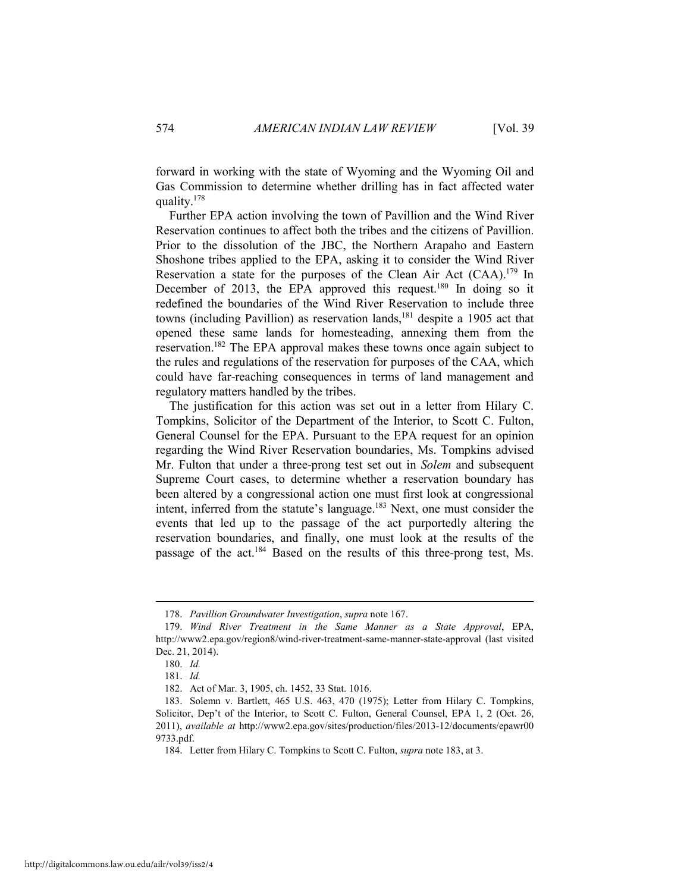forward in working with the state of Wyoming and the Wyoming Oil and Gas Commission to determine whether drilling has in fact affected water quality.178

Further EPA action involving the town of Pavillion and the Wind River Reservation continues to affect both the tribes and the citizens of Pavillion. Prior to the dissolution of the JBC, the Northern Arapaho and Eastern Shoshone tribes applied to the EPA, asking it to consider the Wind River Reservation a state for the purposes of the Clean Air Act (CAA).179 In December of 2013, the EPA approved this request.<sup>180</sup> In doing so it redefined the boundaries of the Wind River Reservation to include three towns (including Pavillion) as reservation lands,<sup>181</sup> despite a 1905 act that opened these same lands for homesteading, annexing them from the reservation.182 The EPA approval makes these towns once again subject to the rules and regulations of the reservation for purposes of the CAA, which could have far-reaching consequences in terms of land management and regulatory matters handled by the tribes.

The justification for this action was set out in a letter from Hilary C. Tompkins, Solicitor of the Department of the Interior, to Scott C. Fulton, General Counsel for the EPA. Pursuant to the EPA request for an opinion regarding the Wind River Reservation boundaries, Ms. Tompkins advised Mr. Fulton that under a three-prong test set out in *Solem* and subsequent Supreme Court cases, to determine whether a reservation boundary has been altered by a congressional action one must first look at congressional intent, inferred from the statute's language.<sup>183</sup> Next, one must consider the events that led up to the passage of the act purportedly altering the reservation boundaries, and finally, one must look at the results of the passage of the act.184 Based on the results of this three-prong test, Ms.

 <sup>178.</sup> *Pavillion Groundwater Investigation*, *supra* note 167.

 <sup>179.</sup> *Wind River Treatment in the Same Manner as a State Approval*, EPA, http://www2.epa.gov/region8/wind-river-treatment-same-manner-state-approval (last visited Dec. 21, 2014).

 <sup>180.</sup> *Id.*

 <sup>181.</sup> *Id.*

 <sup>182.</sup> Act of Mar. 3, 1905, ch. 1452, 33 Stat. 1016.

 <sup>183.</sup> Solemn v. Bartlett, 465 U.S. 463, 470 (1975); Letter from Hilary C. Tompkins, Solicitor, Dep't of the Interior, to Scott C. Fulton, General Counsel, EPA 1, 2 (Oct. 26, 2011), *available at* http://www2.epa.gov/sites/production/files/2013-12/documents/epawr00 9733.pdf.

 <sup>184.</sup> Letter from Hilary C. Tompkins to Scott C. Fulton, *supra* note 183, at 3.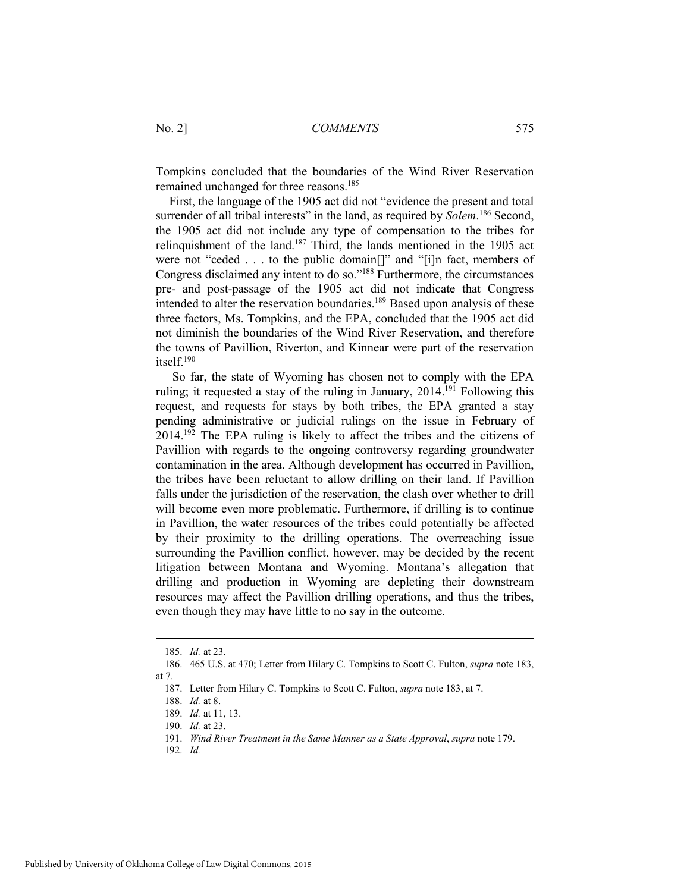Tompkins concluded that the boundaries of the Wind River Reservation remained unchanged for three reasons.185

First, the language of the 1905 act did not "evidence the present and total surrender of all tribal interests" in the land, as required by *Solem*. 186 Second, the 1905 act did not include any type of compensation to the tribes for relinquishment of the land.187 Third, the lands mentioned in the 1905 act were not "ceded . . . to the public domain[]" and "[i]n fact, members of Congress disclaimed any intent to do so."188 Furthermore, the circumstances pre- and post-passage of the 1905 act did not indicate that Congress intended to alter the reservation boundaries.<sup>189</sup> Based upon analysis of these three factors, Ms. Tompkins, and the EPA, concluded that the 1905 act did not diminish the boundaries of the Wind River Reservation, and therefore the towns of Pavillion, Riverton, and Kinnear were part of the reservation itself.190

 So far, the state of Wyoming has chosen not to comply with the EPA ruling; it requested a stay of the ruling in January,  $2014$ <sup>[91</sup>] Following this request, and requests for stays by both tribes, the EPA granted a stay pending administrative or judicial rulings on the issue in February of 2014.192 The EPA ruling is likely to affect the tribes and the citizens of Pavillion with regards to the ongoing controversy regarding groundwater contamination in the area. Although development has occurred in Pavillion, the tribes have been reluctant to allow drilling on their land. If Pavillion falls under the jurisdiction of the reservation, the clash over whether to drill will become even more problematic. Furthermore, if drilling is to continue in Pavillion, the water resources of the tribes could potentially be affected by their proximity to the drilling operations. The overreaching issue surrounding the Pavillion conflict, however, may be decided by the recent litigation between Montana and Wyoming. Montana's allegation that drilling and production in Wyoming are depleting their downstream resources may affect the Pavillion drilling operations, and thus the tribes, even though they may have little to no say in the outcome.

 $\overline{a}$ 

192. *Id.*

 <sup>185.</sup> *Id.* at 23.

 <sup>186. 465</sup> U.S. at 470; Letter from Hilary C. Tompkins to Scott C. Fulton, *supra* note 183, at 7.

 <sup>187.</sup> Letter from Hilary C. Tompkins to Scott C. Fulton, *supra* note 183, at 7.

 <sup>188.</sup> *Id.* at 8.

 <sup>189.</sup> *Id.* at 11, 13.

 <sup>190.</sup> *Id.* at 23.

 <sup>191.</sup> *Wind River Treatment in the Same Manner as a State Approval*, *supra* note 179.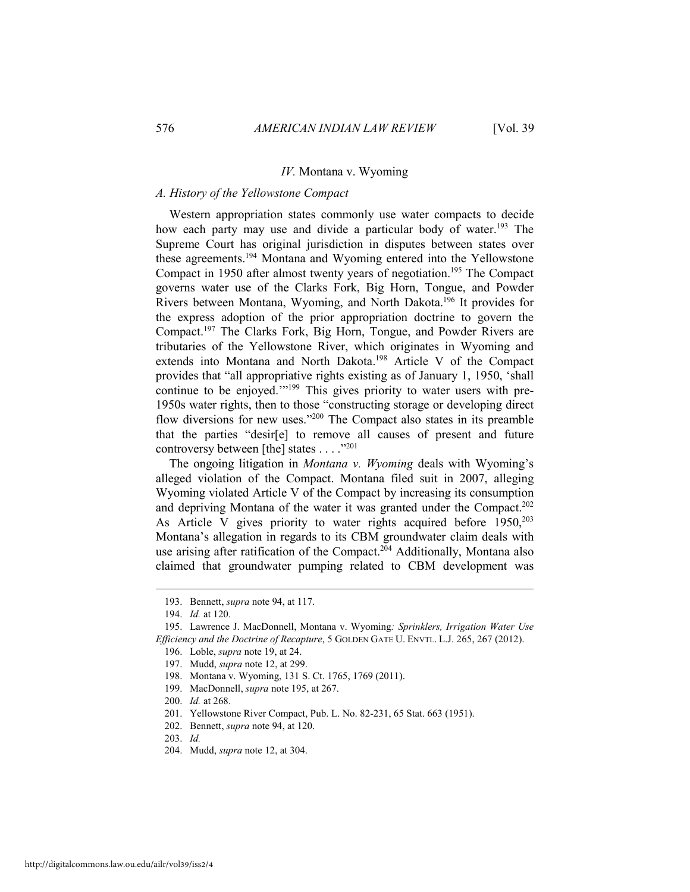#### *IV.* Montana v. Wyoming

#### *A. History of the Yellowstone Compact*

Western appropriation states commonly use water compacts to decide how each party may use and divide a particular body of water.<sup>193</sup> The Supreme Court has original jurisdiction in disputes between states over these agreements.194 Montana and Wyoming entered into the Yellowstone Compact in 1950 after almost twenty years of negotiation.<sup>195</sup> The Compact governs water use of the Clarks Fork, Big Horn, Tongue, and Powder Rivers between Montana, Wyoming, and North Dakota.196 It provides for the express adoption of the prior appropriation doctrine to govern the Compact.197 The Clarks Fork, Big Horn, Tongue, and Powder Rivers are tributaries of the Yellowstone River, which originates in Wyoming and extends into Montana and North Dakota.198 Article V of the Compact provides that "all appropriative rights existing as of January 1, 1950, 'shall continue to be enjoyed.'"199 This gives priority to water users with pre-1950s water rights, then to those "constructing storage or developing direct flow diversions for new uses."200 The Compact also states in its preamble that the parties "desir[e] to remove all causes of present and future controversy between [the] states . . . ."201

The ongoing litigation in *Montana v. Wyoming* deals with Wyoming's alleged violation of the Compact. Montana filed suit in 2007, alleging Wyoming violated Article V of the Compact by increasing its consumption and depriving Montana of the water it was granted under the Compact.<sup>202</sup> As Article V gives priority to water rights acquired before  $1950$ ,  $203$ Montana's allegation in regards to its CBM groundwater claim deals with use arising after ratification of the Compact.<sup>204</sup> Additionally, Montana also claimed that groundwater pumping related to CBM development was

 <sup>193.</sup> Bennett, *supra* note 94, at 117.

 <sup>194.</sup> *Id.* at 120.

 <sup>195.</sup> Lawrence J. MacDonnell, Montana v. Wyoming*: Sprinklers, Irrigation Water Use Efficiency and the Doctrine of Recapture*, 5 GOLDEN GATE U. ENVTL. L.J. 265, 267 (2012).

 <sup>196.</sup> Loble, *supra* note 19, at 24.

 <sup>197.</sup> Mudd, *supra* note 12, at 299.

 <sup>198.</sup> Montana v. Wyoming, 131 S. Ct. 1765, 1769 (2011).

 <sup>199.</sup> MacDonnell, *supra* note 195, at 267.

 <sup>200.</sup> *Id.* at 268.

 <sup>201.</sup> Yellowstone River Compact, Pub. L. No. 82-231, 65 Stat. 663 (1951).

 <sup>202.</sup> Bennett, *supra* note 94, at 120.

 <sup>203.</sup> *Id.*

 <sup>204.</sup> Mudd, *supra* note 12, at 304.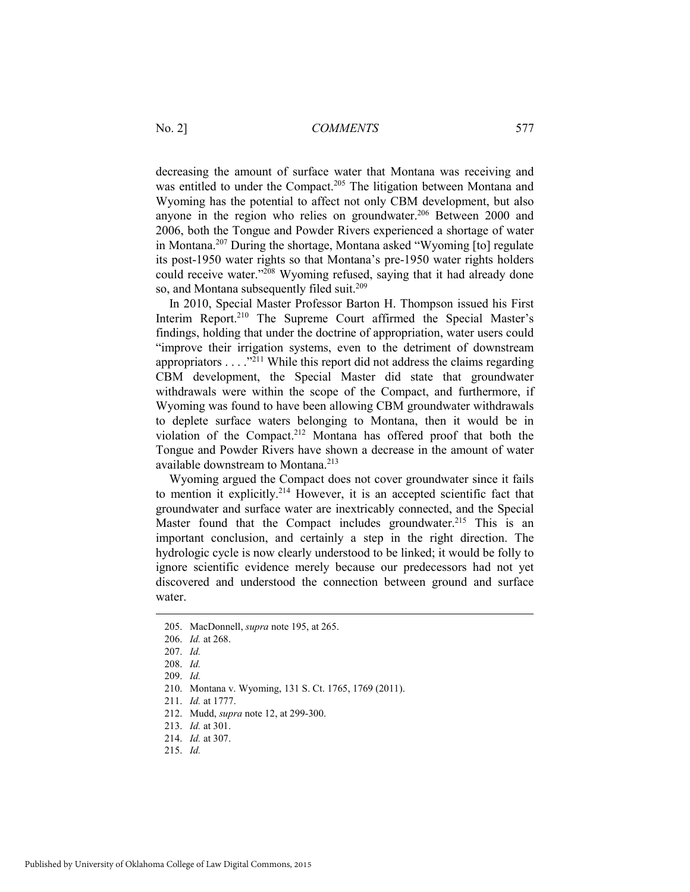decreasing the amount of surface water that Montana was receiving and was entitled to under the Compact.<sup>205</sup> The litigation between Montana and Wyoming has the potential to affect not only CBM development, but also anyone in the region who relies on groundwater.<sup>206</sup> Between 2000 and 2006, both the Tongue and Powder Rivers experienced a shortage of water in Montana.207 During the shortage, Montana asked "Wyoming [to] regulate its post-1950 water rights so that Montana's pre-1950 water rights holders could receive water."<sup>208</sup> Wyoming refused, saying that it had already done so, and Montana subsequently filed suit.<sup>209</sup>

In 2010, Special Master Professor Barton H. Thompson issued his First Interim Report.<sup>210</sup> The Supreme Court affirmed the Special Master's findings, holding that under the doctrine of appropriation, water users could "improve their irrigation systems, even to the detriment of downstream appropriators . . . ."211 While this report did not address the claims regarding CBM development, the Special Master did state that groundwater withdrawals were within the scope of the Compact, and furthermore, if Wyoming was found to have been allowing CBM groundwater withdrawals to deplete surface waters belonging to Montana, then it would be in violation of the Compact.<sup>212</sup> Montana has offered proof that both the Tongue and Powder Rivers have shown a decrease in the amount of water available downstream to Montana.<sup>213</sup>

Wyoming argued the Compact does not cover groundwater since it fails to mention it explicitly.214 However, it is an accepted scientific fact that groundwater and surface water are inextricably connected, and the Special Master found that the Compact includes groundwater.<sup>215</sup> This is an important conclusion, and certainly a step in the right direction. The hydrologic cycle is now clearly understood to be linked; it would be folly to ignore scientific evidence merely because our predecessors had not yet discovered and understood the connection between ground and surface water.

 <sup>205.</sup> MacDonnell, *supra* note 195, at 265.

 <sup>206.</sup> *Id.* at 268.

 <sup>207.</sup> *Id.*

 <sup>208.</sup> *Id.*

 <sup>209.</sup> *Id.*

 <sup>210.</sup> Montana v. Wyoming, 131 S. Ct. 1765, 1769 (2011).

 <sup>211.</sup> *Id.* at 1777.

 <sup>212.</sup> Mudd, *supra* note 12, at 299-300.

 <sup>213.</sup> *Id.* at 301.

 <sup>214.</sup> *Id.* at 307.

 <sup>215.</sup> *Id.*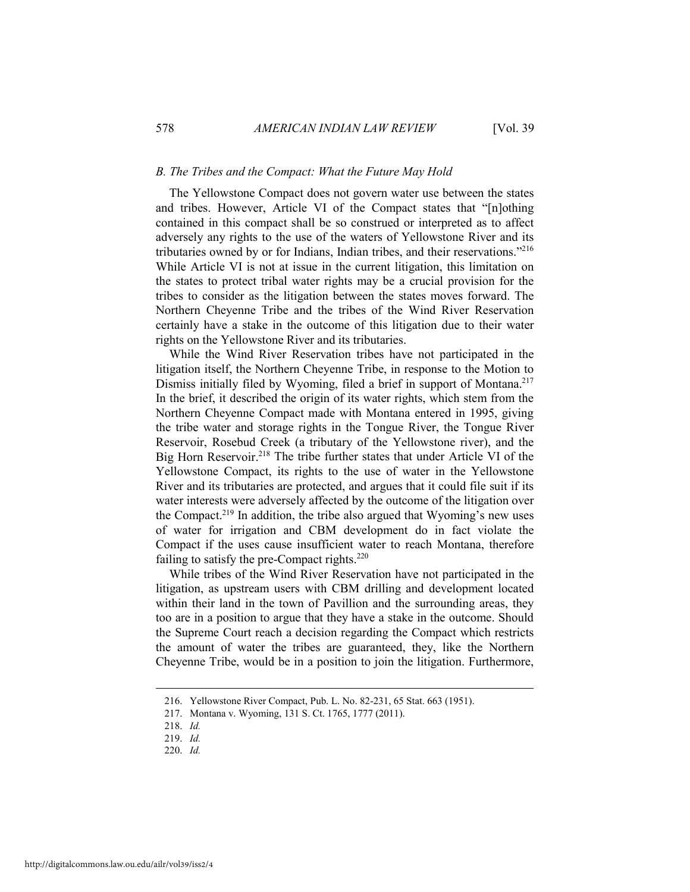#### *B. The Tribes and the Compact: What the Future May Hold*

The Yellowstone Compact does not govern water use between the states and tribes. However, Article VI of the Compact states that "[n]othing contained in this compact shall be so construed or interpreted as to affect adversely any rights to the use of the waters of Yellowstone River and its tributaries owned by or for Indians, Indian tribes, and their reservations."216 While Article VI is not at issue in the current litigation, this limitation on the states to protect tribal water rights may be a crucial provision for the tribes to consider as the litigation between the states moves forward. The Northern Cheyenne Tribe and the tribes of the Wind River Reservation certainly have a stake in the outcome of this litigation due to their water rights on the Yellowstone River and its tributaries.

While the Wind River Reservation tribes have not participated in the litigation itself, the Northern Cheyenne Tribe, in response to the Motion to Dismiss initially filed by Wyoming, filed a brief in support of Montana.<sup>217</sup> In the brief, it described the origin of its water rights, which stem from the Northern Cheyenne Compact made with Montana entered in 1995, giving the tribe water and storage rights in the Tongue River, the Tongue River Reservoir, Rosebud Creek (a tributary of the Yellowstone river), and the Big Horn Reservoir.<sup>218</sup> The tribe further states that under Article VI of the Yellowstone Compact, its rights to the use of water in the Yellowstone River and its tributaries are protected, and argues that it could file suit if its water interests were adversely affected by the outcome of the litigation over the Compact.<sup>219</sup> In addition, the tribe also argued that Wyoming's new uses of water for irrigation and CBM development do in fact violate the Compact if the uses cause insufficient water to reach Montana, therefore failing to satisfy the pre-Compact rights.<sup>220</sup>

While tribes of the Wind River Reservation have not participated in the litigation, as upstream users with CBM drilling and development located within their land in the town of Pavillion and the surrounding areas, they too are in a position to argue that they have a stake in the outcome. Should the Supreme Court reach a decision regarding the Compact which restricts the amount of water the tribes are guaranteed, they, like the Northern Cheyenne Tribe, would be in a position to join the litigation. Furthermore,

 <sup>216.</sup> Yellowstone River Compact, Pub. L. No. 82-231, 65 Stat. 663 (1951).

 <sup>217.</sup> Montana v. Wyoming, 131 S. Ct. 1765, 1777 (2011).

 <sup>218.</sup> *Id.* 

 <sup>219.</sup> *Id.* 

 <sup>220.</sup> *Id.*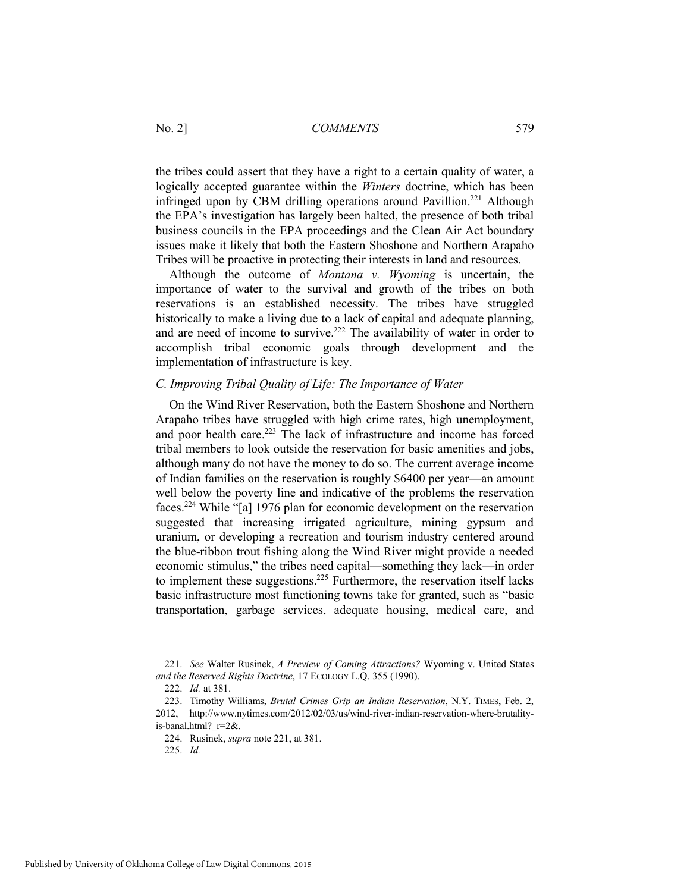the tribes could assert that they have a right to a certain quality of water, a logically accepted guarantee within the *Winters* doctrine, which has been infringed upon by CBM drilling operations around Pavillion.<sup>221</sup> Although the EPA's investigation has largely been halted, the presence of both tribal business councils in the EPA proceedings and the Clean Air Act boundary issues make it likely that both the Eastern Shoshone and Northern Arapaho Tribes will be proactive in protecting their interests in land and resources.

Although the outcome of *Montana v. Wyoming* is uncertain, the importance of water to the survival and growth of the tribes on both reservations is an established necessity. The tribes have struggled historically to make a living due to a lack of capital and adequate planning, and are need of income to survive.222 The availability of water in order to accomplish tribal economic goals through development and the implementation of infrastructure is key.

#### *C. Improving Tribal Quality of Life: The Importance of Water*

On the Wind River Reservation, both the Eastern Shoshone and Northern Arapaho tribes have struggled with high crime rates, high unemployment, and poor health care.<sup>223</sup> The lack of infrastructure and income has forced tribal members to look outside the reservation for basic amenities and jobs, although many do not have the money to do so. The current average income of Indian families on the reservation is roughly \$6400 per year—an amount well below the poverty line and indicative of the problems the reservation faces.224 While "[a] 1976 plan for economic development on the reservation suggested that increasing irrigated agriculture, mining gypsum and uranium, or developing a recreation and tourism industry centered around the blue-ribbon trout fishing along the Wind River might provide a needed economic stimulus," the tribes need capital—something they lack—in order to implement these suggestions.<sup>225</sup> Furthermore, the reservation itself lacks basic infrastructure most functioning towns take for granted, such as "basic transportation, garbage services, adequate housing, medical care, and

 <sup>221.</sup> *See* Walter Rusinek, *A Preview of Coming Attractions?* Wyoming v. United States *and the Reserved Rights Doctrine*, 17 ECOLOGY L.Q. 355 (1990).

 <sup>222.</sup> *Id.* at 381.

 <sup>223.</sup> Timothy Williams, *Brutal Crimes Grip an Indian Reservation*, N.Y. TIMES, Feb. 2, 2012, http://www.nytimes.com/2012/02/03/us/wind-river-indian-reservation-where-brutalityis-banal.html?\_r=2&.

 <sup>224.</sup> Rusinek, *supra* note 221, at 381.

 <sup>225.</sup> *Id.*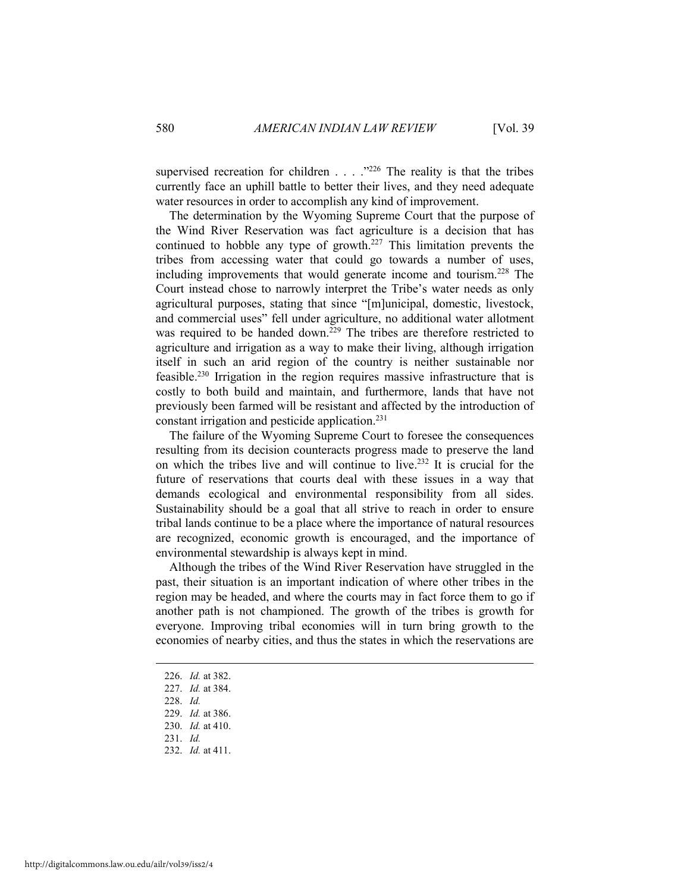supervised recreation for children . . . ."226 The reality is that the tribes currently face an uphill battle to better their lives, and they need adequate water resources in order to accomplish any kind of improvement.

The determination by the Wyoming Supreme Court that the purpose of the Wind River Reservation was fact agriculture is a decision that has continued to hobble any type of growth.227 This limitation prevents the tribes from accessing water that could go towards a number of uses, including improvements that would generate income and tourism.228 The Court instead chose to narrowly interpret the Tribe's water needs as only agricultural purposes, stating that since "[m]unicipal, domestic, livestock, and commercial uses" fell under agriculture, no additional water allotment was required to be handed down.<sup>229</sup> The tribes are therefore restricted to agriculture and irrigation as a way to make their living, although irrigation itself in such an arid region of the country is neither sustainable nor feasible.230 Irrigation in the region requires massive infrastructure that is costly to both build and maintain, and furthermore, lands that have not previously been farmed will be resistant and affected by the introduction of constant irrigation and pesticide application.231

The failure of the Wyoming Supreme Court to foresee the consequences resulting from its decision counteracts progress made to preserve the land on which the tribes live and will continue to live.232 It is crucial for the future of reservations that courts deal with these issues in a way that demands ecological and environmental responsibility from all sides. Sustainability should be a goal that all strive to reach in order to ensure tribal lands continue to be a place where the importance of natural resources are recognized, economic growth is encouraged, and the importance of environmental stewardship is always kept in mind.

Although the tribes of the Wind River Reservation have struggled in the past, their situation is an important indication of where other tribes in the region may be headed, and where the courts may in fact force them to go if another path is not championed. The growth of the tribes is growth for everyone. Improving tribal economies will in turn bring growth to the economies of nearby cities, and thus the states in which the reservations are

 <sup>226.</sup> *Id.* at 382.

 <sup>227.</sup> *Id.* at 384.

 <sup>228.</sup> *Id.*

 <sup>229.</sup> *Id.* at 386.

 <sup>230.</sup> *Id.* at 410.

 <sup>231.</sup> *Id.*

 <sup>232.</sup> *Id.* at 411.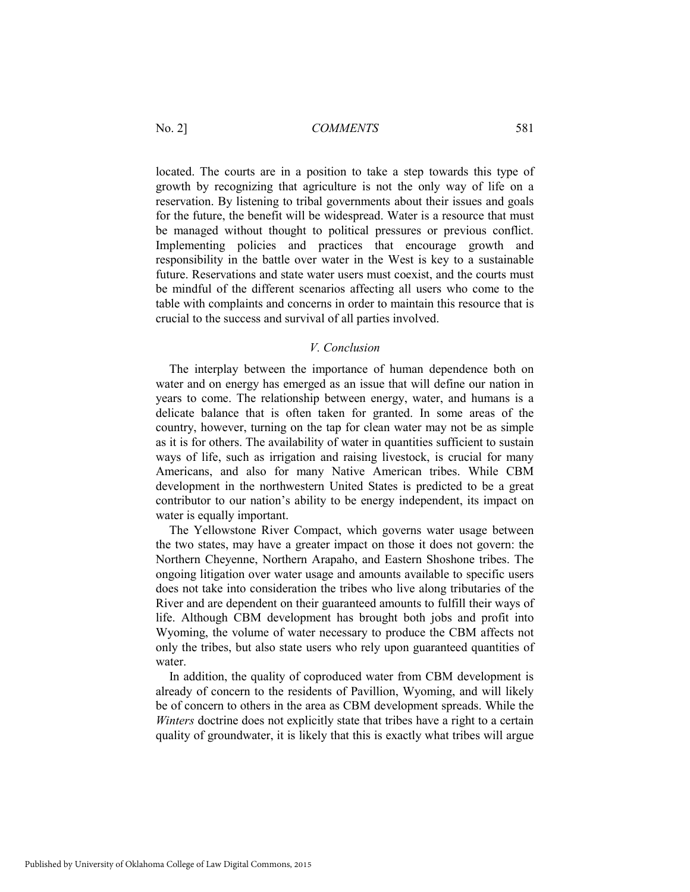located. The courts are in a position to take a step towards this type of growth by recognizing that agriculture is not the only way of life on a reservation. By listening to tribal governments about their issues and goals for the future, the benefit will be widespread. Water is a resource that must be managed without thought to political pressures or previous conflict. Implementing policies and practices that encourage growth and responsibility in the battle over water in the West is key to a sustainable future. Reservations and state water users must coexist, and the courts must be mindful of the different scenarios affecting all users who come to the table with complaints and concerns in order to maintain this resource that is crucial to the success and survival of all parties involved.

#### *V. Conclusion*

The interplay between the importance of human dependence both on water and on energy has emerged as an issue that will define our nation in years to come. The relationship between energy, water, and humans is a delicate balance that is often taken for granted. In some areas of the country, however, turning on the tap for clean water may not be as simple as it is for others. The availability of water in quantities sufficient to sustain ways of life, such as irrigation and raising livestock, is crucial for many Americans, and also for many Native American tribes. While CBM development in the northwestern United States is predicted to be a great contributor to our nation's ability to be energy independent, its impact on water is equally important.

The Yellowstone River Compact, which governs water usage between the two states, may have a greater impact on those it does not govern: the Northern Cheyenne, Northern Arapaho, and Eastern Shoshone tribes. The ongoing litigation over water usage and amounts available to specific users does not take into consideration the tribes who live along tributaries of the River and are dependent on their guaranteed amounts to fulfill their ways of life. Although CBM development has brought both jobs and profit into Wyoming, the volume of water necessary to produce the CBM affects not only the tribes, but also state users who rely upon guaranteed quantities of water.

In addition, the quality of coproduced water from CBM development is already of concern to the residents of Pavillion, Wyoming, and will likely be of concern to others in the area as CBM development spreads. While the *Winters* doctrine does not explicitly state that tribes have a right to a certain quality of groundwater, it is likely that this is exactly what tribes will argue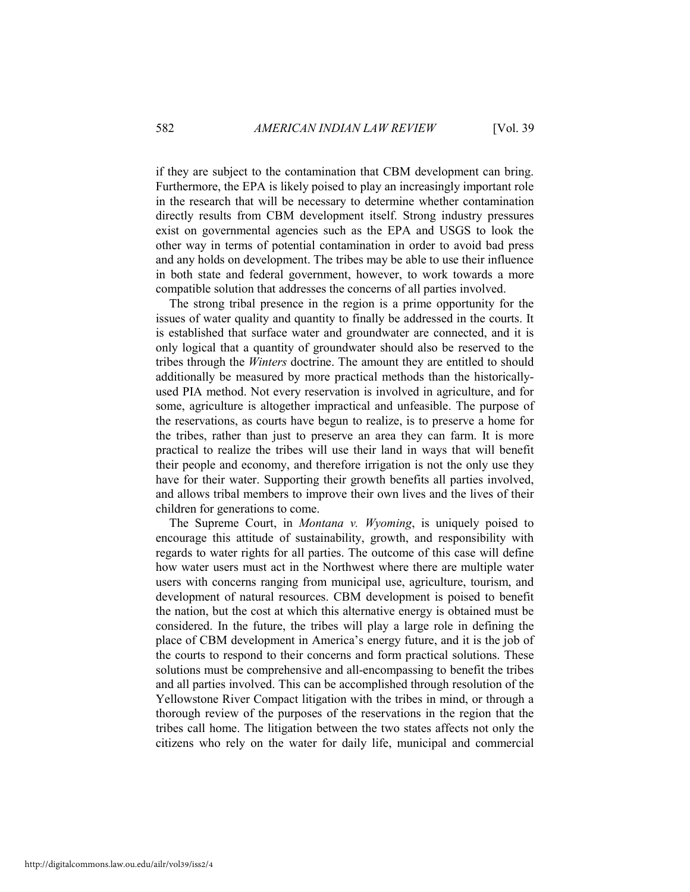if they are subject to the contamination that CBM development can bring. Furthermore, the EPA is likely poised to play an increasingly important role in the research that will be necessary to determine whether contamination directly results from CBM development itself. Strong industry pressures exist on governmental agencies such as the EPA and USGS to look the other way in terms of potential contamination in order to avoid bad press and any holds on development. The tribes may be able to use their influence in both state and federal government, however, to work towards a more compatible solution that addresses the concerns of all parties involved.

The strong tribal presence in the region is a prime opportunity for the issues of water quality and quantity to finally be addressed in the courts. It is established that surface water and groundwater are connected, and it is only logical that a quantity of groundwater should also be reserved to the tribes through the *Winters* doctrine. The amount they are entitled to should additionally be measured by more practical methods than the historicallyused PIA method. Not every reservation is involved in agriculture, and for some, agriculture is altogether impractical and unfeasible. The purpose of the reservations, as courts have begun to realize, is to preserve a home for the tribes, rather than just to preserve an area they can farm. It is more practical to realize the tribes will use their land in ways that will benefit their people and economy, and therefore irrigation is not the only use they have for their water. Supporting their growth benefits all parties involved, and allows tribal members to improve their own lives and the lives of their children for generations to come.

The Supreme Court, in *Montana v. Wyoming*, is uniquely poised to encourage this attitude of sustainability, growth, and responsibility with regards to water rights for all parties. The outcome of this case will define how water users must act in the Northwest where there are multiple water users with concerns ranging from municipal use, agriculture, tourism, and development of natural resources. CBM development is poised to benefit the nation, but the cost at which this alternative energy is obtained must be considered. In the future, the tribes will play a large role in defining the place of CBM development in America's energy future, and it is the job of the courts to respond to their concerns and form practical solutions. These solutions must be comprehensive and all-encompassing to benefit the tribes and all parties involved. This can be accomplished through resolution of the Yellowstone River Compact litigation with the tribes in mind, or through a thorough review of the purposes of the reservations in the region that the tribes call home. The litigation between the two states affects not only the citizens who rely on the water for daily life, municipal and commercial